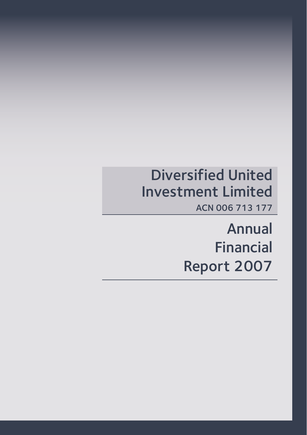# Diversified United Investment Limited

ACN 006 713 177

Annual Financial Report 2007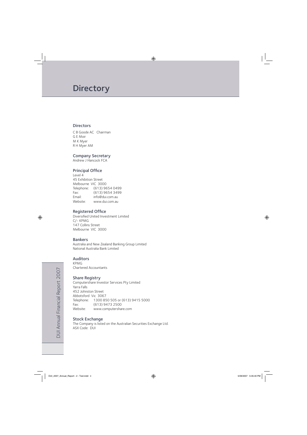## **Directory**

### **Directors**

C B Goode AC Chairman G E Moir M K Myer R H Myer AM

Company Secretary

Andrew J Hancock FCA

## **Principal Office**

Level 4 45 Exhibition Street Melbourne VIC 3000 Telephone: (613) 9654 0499 Fax: (613) 9654 3499 Email: info@dui.com.au Website: www.dui.com.au

### **Registered Office**

Diversified United Investment Limited C/- KPMG 147 Collins Street Melbourne VIC 3000

### Bankers

Australia and New Zealand Banking Group Limited National Australia Bank Limited

### Auditors

KPMG Chartered Accountants

### Share Registry

Computershare Investor Services Pty Limited Yarra Falls 452 Johnston Street Abbotsford Vic 3067 Telephone: 1300 850 505 or (613) 9415 5000 Fax: (613) 9473 2500<br>Website: www.computershal www.computershare.com

## Stock Exchange

The Company is listed on the Australian Securities Exchange Ltd. ASX Code: DUI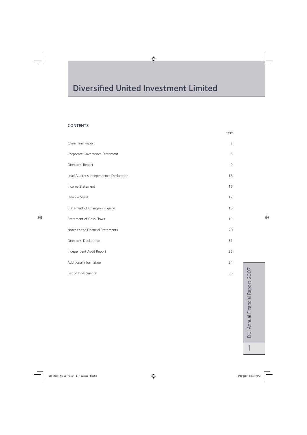# Diversified United Investment Limited

## **CONTENTS**

|                                         | Page            |
|-----------------------------------------|-----------------|
| Chairman's Report                       | $\overline{2}$  |
| Corporate Governance Statement          | $6\phantom{1}6$ |
| Directors' Report                       | $\mathsf 9$     |
| Lead Auditor's Independence Declaration | 15              |
| Income Statement                        | 16              |
| <b>Balance Sheet</b>                    | 17              |
| Statement of Changes in Equity          | 18              |
| Statement of Cash Flows                 | 19              |
| Notes to the Financial Statements       | 20              |
| Directors' Declaration                  | 31              |
| Independent Audit Report                | 32              |
| Additional Information                  | 34              |
| List of Investments                     | 36              |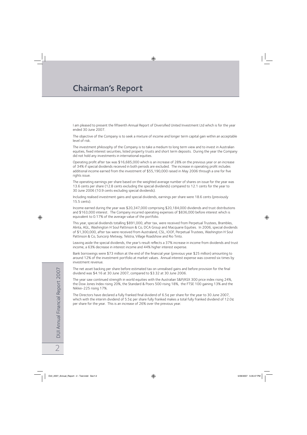I am pleased to present the fifteenth Annual Report of Diversified United Investment Ltd which is for the year ended 30 June 2007.

The objective of the Company is to seek a mixture of income and longer term capital gain within an acceptable level of risk.

The investment philosophy of the Company is to take a medium to long term view and to invest in Australian equities, fixed interest securities, listed property trusts and short term deposits. During the year the Company did not hold any investments in international equities.

Operating profit after tax was \$16,685,000 which is an increase of 28% on the previous year or an increase of 34% if special dividends received in both periods are excluded. The increase in operating profi t includes additional income earned from the investment of \$55,190,000 raised in May 2006 through a one for five rights issue.

The operating earnings per share based on the weighted average number of shares on issue for the year was 13.6 cents per share (12.8 cents excluding the special dividends) compared to 12.1 cents for the year to 30 June 2006 (10.9 cents excluding special dividends).

Including realised investment gains and special dividends, earnings per share were 18.6 cents (previously 15.5 cents).

Income earned during the year was \$20,347,000 comprising \$20,184,000 dividends and trust distributions and \$163,000 interest. The Company incurred operating expenses of \$836,000 before interest which is equivalent to 0.17% of the average value of the portfolio.

This year, special dividends totalling \$891,000, after tax, were received from Perpetual Trustees, Brambles, Alinta, AGL, Washington H Soul Pattinson & Co, DCA Group and Macquarie Equities. In 2006, special dividends of \$1,300,000, after tax were received from Australand, CSL, IOOF, Perpetual Trustees, Washington H Soul Pattinson & Co, Suncorp Metway, Telstra, Village Roadshow and Rio Tinto.

Leaving aside the special dividends, the year's result reflects a 37% increase in income from dividends and trust income, a 63% decrease in interest income and 44% higher interest expense.

Bank borrowings were \$73 million at the end of the financial year (previous year \$25 million) amounting to around 12% of the investment portfolio at market values. Annual interest expense was covered six times by investment revenue.

The net asset backing per share before estimated tax on unrealised gains and before provision for the final dividend was \$4.16 at 30 June 2007, compared to \$3.32 at 30 June 2006.

The year saw continued strength in world equities with the Australian S&P/ASX 300 price index rising 24%, the Dow Jones Index rising 20%, the Standard & Poors 500 rising 18%, the FTSE 100 gaining 13% and the Nikkei-225 rising 17%.

The Directors have declared a fully franked final dividend of  $6.5$  per share for the year to 30 June 2007, which with the interim dividend of 5.5¢ per share fully franked makes a total fully franked dividend of 12.0¢ per share for the year. This is an increase of 26% over the previous year.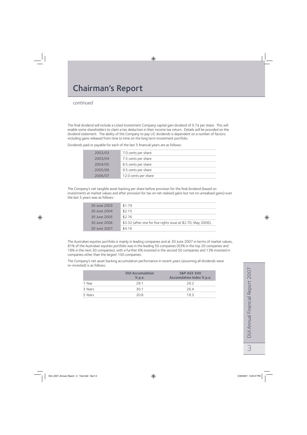## *continued*

The final dividend will include a Listed Investment Company capital gain dividend of 0.7¢ per share. This will enable some shareholders to claim a tax deduction in their income tax return. Details will be provided on the dividend statement. The ability of the Company to pay LIC dividends is dependent on a number of factors including gains released from time to time on the long term investment portfolio.

| 2002/03 | 7.0 cents per share  |
|---------|----------------------|
| 2003/04 | 7.5 cents per share  |
| 2004/05 | 8.5 cents per share  |
| 2005/06 | 9.5 cents per share  |
| 2006/07 | 12.0 cents per share |

Dividends paid or payable for each of the last 5 financial years are as follows:

The Company's net tangible asset backing per share before provision for the final dividend (based on investments at market values and after provision for tax on net realised gains but not on unrealised gains) over the last 5 years was as follows:

| \$1.79                                                        |
|---------------------------------------------------------------|
| \$2.15                                                        |
| \$2.76                                                        |
| \$3.32 (after one for five rights issue at \$2.70, May 2006). |
| \$4.16                                                        |
|                                                               |

The Australian equities portfolio is mainly in leading companies and at 30 June 2007 in terms of market values, 81% of the Australian equities portfolio was in the leading 50 companies (63% in the top 20 companies and 18% in the next 30 companies), with a further 6% invested in the second 50 companies and 13% invested in companies other than the largest 100 companies.

The Company's net asset backing accumulation performance in recent years (assuming all dividends were re-invested) is as follows:

|         | <b>DUI Accumulation</b><br>% p.a. | <b>S&amp;P ASX 300</b><br>Accumulation Index % p.a. |
|---------|-----------------------------------|-----------------------------------------------------|
| 1 Year  | 29.1                              | 29.2                                                |
| 3 Years | 30.1                              | 26.4                                                |
| 5 Years | 20.8                              | 193                                                 |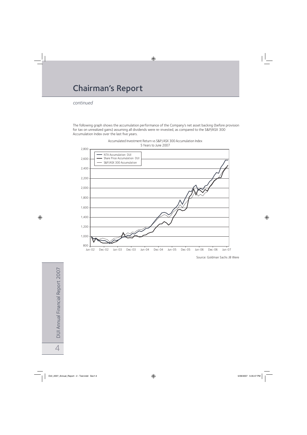*continued*

The following graph shows the accumulation performance of the Company's net asset backing (before provision for tax on unrealized gains) assuming all dividends were re-invested, as compared to the S&P/ASX 300 Accumulation Index over the last five years.



Accumulated Investment Return vs S&P/ASX 300 Accumulation Index 5 Years to June 2007

Source: Goldman Sachs JB Were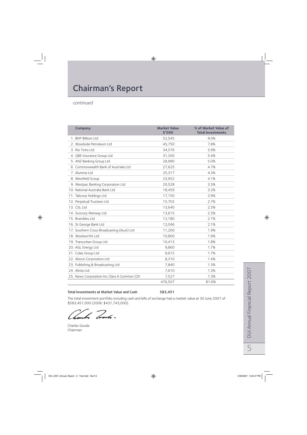*continued*

| Company                                     | <b>Market Value</b><br>\$'000 | % of Market Value of<br><b>Total Investments</b> |
|---------------------------------------------|-------------------------------|--------------------------------------------------|
| 1. BHP Billiton Ltd                         | 52,545                        | 9.0%                                             |
| 2. Woodside Petroleum Ltd                   | 45,750                        | 7.8%                                             |
| 3. Rio Tinto Ltd                            | 34,576                        | 5.9%                                             |
| 4. QBE Insurance Group Ltd                  | 31,200                        | 5.4%                                             |
| 5. ANZ Banking Group Ltd                    | 28,990                        | 5.0%                                             |
| 6. Commonwealth Bank of Australia Ltd       | 27,625                        | 4.7%                                             |
| 7. Alumina Ltd                              | 25,317                        | 4.3%                                             |
| 8. Westfield Group                          | 23,952                        | 4.1%                                             |
| 9. Westpac Banking Corporation Ltd          | 20,528                        | 3.5%                                             |
| 10. National Australia Bank Ltd             | 18,459                        | 3.2%                                             |
| 11. Tabcorp Holdings Ltd                    | 17,150                        | 2.9%                                             |
| 12. Perpetual Trustees Ltd                  | 15,702                        | 2.7%                                             |
| 13. CSL Ltd                                 | 13,640                        | 2.3%                                             |
| 14. Suncorp Metway Ltd                      | 13,615                        | 2.3%                                             |
| 15. Brambles Ltd                            | 12,180                        | 2.1%                                             |
| 16. St George Bank Ltd                      | 12,046                        | 2.1%                                             |
| 17. Southern Cross Broadcasting (Aust) Ltd  | 11,200                        | 1.9%                                             |
| 18. Woolworths Ltd                          | 10,800                        | 1.9%                                             |
| 19. Transurban Group Ltd                    | 10,413                        | 1.8%                                             |
| 20. AGL Energy Ltd                          | 9,860                         | 1.7%                                             |
| 21. Coles Group Ltd                         | 9,672                         | 1.7%                                             |
| 22. Alesco Corporation Ltd                  | 8,310                         | 1.4%                                             |
| 23. Publishing & Broadcasting Ltd           | 7,840                         | 1.3%                                             |
| 24. Alinta Ltd                              | 7,610                         | 1.3%                                             |
| 25. News Corporation Inc Class A Common CDI | 7,527                         | 1.3%                                             |
|                                             | 476,507                       | 81.6%                                            |

#### Total Investments at Market Value and Cash 583,451

The total investment portfolio including cash and bills of exchange had a market value at 30 June 2007 of \$583,451,000 (2006: \$431,743,000).

Charles Tools.

Charles Goode Chairman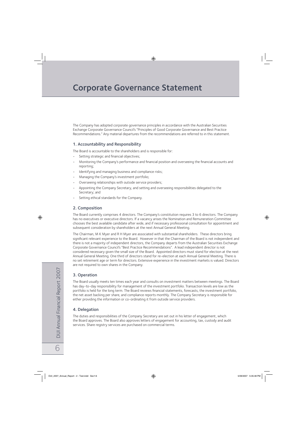## Corporate Governance Statement

The Company has adopted corporate governance principles in accordance with the Australian Securities Exchange Corporate Governance Council's "Principles of Good Corporate Governance and Best Practice Recommendations." Any material departures from the recommendations are referred to in this statement.

## 1. Accountability and Responsibility

The Board is accountable to the shareholders and is responsible for:

- Setting strategic and financial objectives;
- Monitoring the Company's performance and financial position and overseeing the financial accounts and reporting;
- Identifying and managing business and compliance risks;
- Managing the Company's investment portfolio;
- Overseeing relationships with outside service providers;
- Appointing the Company Secretary, and setting and overseeing responsibilities delegated to the Secretary; and
- Setting ethical standards for the Company.

## 2. Composition

The Board currently comprises 4 directors. The Company's constitution requires 3 to 6 directors. The Company has no executives or executive directors. If a vacancy arises the Nomination and Remuneration Committee chooses the best available candidate after wide, and if necessary professional consultation for appointment and subsequent consideration by shareholders at the next Annual General Meeting.

The Chairman, M K Myer and R H Myer are associated with substantial shareholders. These directors bring significant relevant experience to the Board. However in that the Chairman of the Board is not independent and there is not a majority of independent directors, the Company departs from the Australian Securities Exchange Corporate Governance Council's "Best Practice Recommendations". A lead independent director is not considered necessary given the small size of the Board. Appointed directors must stand for election at the next Annual General Meeting. One third of directors stand for re-election at each Annual General Meeting. There is no set retirement age or term for directors. Extensive experience in the investment markets is valued. Directors are not required to own shares in the Company.

## 3. Operation

The Board usually meets ten times each year and consults on investment matters between meetings. The Board has day-to-day responsibility for management of the investment portfolio. Transaction levels are low as the portfolio is held for the long term. The Board reviews financial statements, forecasts, the investment portfolio, the net asset backing per share, and compliance reports monthly. The Company Secretary is responsible for either providing the information or co-ordinating it from outside service providers.

## 4. Delegation

The duties and responsibilities of the Company Secretary are set out in his letter of engagement, which the Board approves. The Board also approves letters of engagement for accounting, tax, custody and audit services. Share registry services are purchased on commercial terms.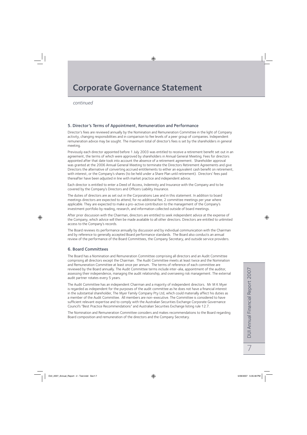## 5. Director's Terms of Appointment, Remuneration and Performance

Director's fees are reviewed annually by the Nomination and Remuneration Committee in the light of Company activity, changing responsibilities and in comparison to fee levels of a peer group of companies. Independent remuneration advice may be sought. The maximum total of director's fees is set by the shareholders in general meeting.

Previously each director appointed before 1 July 2003 was entitled to receive a retirement benefit set out in an agreement, the terms of which were approved by shareholders in Annual General Meeting. Fees for directors appointed after that date took into account the absence of a retirement agreement. Shareholder approval was granted at the 2006 Annual General Meeting to terminate the Directors Retirement Agreements and give Directors the alternative of converting accrued entitlements to either an equivalent cash benefit on retirement, with interest, or the Company's shares (to be held under a Share Plan until retirement). Directors' fees paid thereafter have been adjusted in line with market practice and independent advice.

Each director is entitled to enter a Deed of Access, Indemnity and Insurance with the Company and to be covered by the Company's Directors and Officers Liability Insurance.

The duties of directors are as set out in the Corporations Law and in this statement. In addition to board meetings directors are expected to attend, for no additional fee, 2 committee meetings per year where applicable. They are expected to make a pro-active contribution to the management of the Company's investment portfolio by reading, research, and information collected outside of board meetings.

After prior discussion with the Chairman, directors are entitled to seek independent advice at the expense of the Company, which advice will then be made available to all other directors. Directors are entitled to unlimited access to the Company's records.

The Board reviews its performance annually by discussion and by individual communication with the Chairman and by reference to generally accepted Board performance standards. The Board also conducts an annual review of the performance of the Board Committees, the Company Secretary, and outside service providers.

### 6. Board Committees

The Board has a Nomination and Remuneration Committee comprising all directors and an Audit Committee comprising all directors except the Chairman. The Audit Committee meets at least twice and the Nomination and Remuneration Committee at least once per annum. The terms of reference of each committee are reviewed by the Board annually. The Audit Committee terms include inter-alia, appointment of the auditor, assessing their independence, managing the audit relationship, and overseeing risk management. The external audit partner rotates every 5 years.

The Audit Committee has an independent Chairman and a majority of independent directors. Mr M K Myer is regarded as independent for the purposes of the audit committee as he does not have a financial interest in the substantial shareholder, The Myer Family Company Pty Ltd, which could materially affect his duties as a member of the Audit Committee. All members are non-executive. The Committee is considered to have sufficient relevant expertise and to comply with the Australian Securities Exchange Corporate Governance Council's "Best Practice Recommendations" and Australian Securities Exchange listing rule 12.7.

The Nomination and Remuneration Committee considers and makes recommendations to the Board regarding Board composition and remuneration of the directors and the Company Secretary.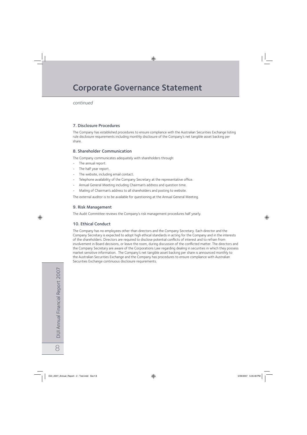## 7. Disclosure Procedures

The Company has established procedures to ensure compliance with the Australian Securities Exchange listing rule disclosure requirements including monthly disclosure of the Company's net tangible asset backing per share.

## 8. Shareholder Communication

The Company communicates adequately with shareholders through:

- The annual report.
- The half year report.
- The website, including email contact.
- Telephone availability of the Company Secretary at the representative office.
- Annual General Meeting including Chairman's address and question time.
- Mailing of Chairman's address to all shareholders and posting to website.

The external auditor is to be available for questioning at the Annual General Meeting.

### 9. Risk Management

The Audit Committee reviews the Company's risk management procedures half yearly.

## 10. Ethical Conduct

The Company has no employees other than directors and the Company Secretary. Each director and the Company Secretary is expected to adopt high ethical standards in acting for the Company and in the interests of the shareholders. Directors are required to disclose potential conflicts of interest and to refrain from involvement in Board decisions, or leave the room, during discussion of the conflicted matter. The directors and the Company Secretary are aware of the Corporations Law regarding dealing in securities in which they possess market sensitive information. The Company's net tangible asset backing per share is announced monthly to the Australian Securities Exchange and the Company has procedures to ensure compliance with Australian Securities Exchange continuous disclosure requirements.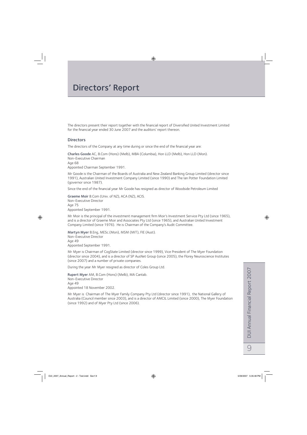## Directors' Report

The directors present their report together with the financial report of Diversified United Investment Limited for the financial year ended 30 June 2007 and the auditors' report thereon.

#### **Directors**

The directors of the Company at any time during or since the end of the financial year are:

Charles Goode AC, B.Com (Hons) (Melb), MBA (Columbia), Hon LLD (Melb), Hon LLD (Mon). Non-Executive Chairman Age 68 Appointed Chairman September 1991.

Mr Goode is the Chairman of the Boards of Australia and New Zealand Banking Group Limited (director since 1991), Australian United Investment Company Limited (since 1990) and The Ian Potter Foundation Limited (governor since 1987).

Since the end of the financial year Mr Goode has resigned as director of Woodside Petroleum Limited

Graeme Moir B.Com (Univ. of NZ), ACA (NZ), ACIS. Non-Executive Director Age 75 Appointed September 1991.

Mr Moir is the principal of the investment management firm Moir's Investment Service Pty Ltd (since 1965), and is a director of Graeme Moir and Associates Pty Ltd (since 1965), and Australian United Investment Company Limited (since 1976). He is Chairman of the Company's Audit Committee.

Martyn Myer B.Eng, MESc.(Mon), MSM (MIT), FIE (Aust). Non-Executive Director Age 49 Appointed September 1991.

Mr Myer is Chairman of CogState Limited (director since 1999), Vice President of The Myer Foundation (director since 2004), and is a director of SP AusNet Group (since 2005), the Florey Neuroscience Institutes (since 2007) and a number of private companies.

During the year Mr Myer resigned as director of Coles Group Ltd.

Rupert Myer AM, B.Com (Hons) (Melb), MA Cantab. Non-Executive Director Age 49 Appointed 18 November 2002.

Mr Myer is Chairman of The Myer Family Company Pty Ltd (director since 1991), the National Gallery of Australia (Council member since 2003), and is a director of AMCIL Limited (since 2000), The Myer Foundation (since 1992) and of Myer Pty Ltd (since 2006).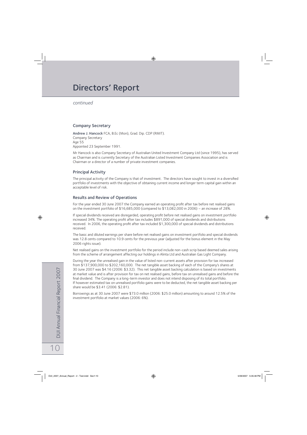## Company Secretary

Andrew J. Hancock FCA, B.Ec (Mon), Grad. Dip. CDP (RMIT). Company Secretary Age 55 Appointed 23 September 1991.

Mr Hancock is also Company Secretary of Australian United Investment Company Ltd (since 1995), has served as Chairman and is currently Secretary of the Australian Listed Investment Companies Association and is Chairman or a director of a number of private investment companies.

## Principal Activity

The principal activity of the Company is that of investment. The directors have sought to invest in a diversified portfolio of investments with the objective of obtaining current income and longer term capital gain within an acceptable level of risk.

### Results and Review of Operations

For the year ended 30 June 2007 the Company earned an operating profit after tax before net realised gains on the investment portfolio of \$16,685,000 (compared to \$13,082,000 in 2006) – an increase of 28%.

If special dividends received are disregarded, operating profi t before net realised gains on investment portfolio increased 34%. The operating profit after tax includes \$891,000 of special dividends and distributions received. In 2006, the operating profit after tax included \$1,300,000 of special dividends and distributions received.

The basic and diluted earnings per share before net realised gains on investment portfolio and special dividends was 12.8 cents compared to 10.9 cents for the previous year (adjusted for the bonus element in the May 2006 rights issue).

Net realised gains on the investment portfolio for the period include non-cash scrip based deemed sales arising from the scheme of arrangement affecting our holdings in Alinta Ltd and Australian Gas Light Company.

During the year the unrealised gain in the value of listed non-current assets after provision for tax increased from \$137,900,000 to \$202,160,000. The net tangible asset backing of each of the Company's shares at 30 June 2007 was \$4.16 (2006: \$3.32). This net tangible asset backing calculation is based on investments at market value and is after provision for tax on net realised gains, before tax on unrealised gains and before the final dividend. The Company is a long-term investor and does not intend disposing of its total portfolio. If however estimated tax on unrealised portfolio gains were to be deducted, the net tangible asset backing per share would be \$3.41 (2006: \$2.81).

Borrowings as at 30 June 2007 were \$73.0 million (2006: \$25.0 million) amounting to around 12.5% of the investment portfolio at market values (2006: 6%).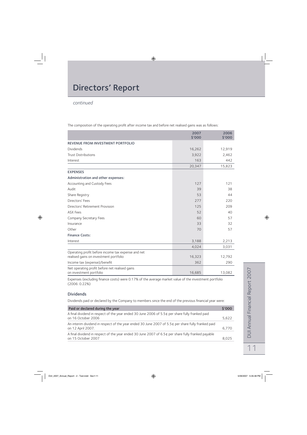The composition of the operating profit after income tax and before net realised gains was as follows:

|                                                                                              | 2007<br>\$'000 | 2006<br>\$'000 |
|----------------------------------------------------------------------------------------------|----------------|----------------|
| <b>REVENUE FROM INVESTMENT PORTFOLIO</b>                                                     |                |                |
| Dividends                                                                                    | 16,262         | 12,919         |
| <b>Trust Distributions</b>                                                                   | 3,922          | 2,462          |
| Interest                                                                                     | 163            | 442            |
|                                                                                              | 20,347         | 15,823         |
| <b>EXPENSES</b>                                                                              |                |                |
| Administration and other expenses:                                                           |                |                |
| Accounting and Custody Fees                                                                  | 127            | 121            |
| Audit                                                                                        | 39             | 38             |
| Share Registry                                                                               | 53             | 44             |
| Directors' Fees                                                                              | 277            | 220            |
| Directors' Retirement Provision                                                              | 125            | 209            |
| <b>ASX Fees</b>                                                                              | 52             | 40             |
| Company Secretary Fees                                                                       | 60             | 57             |
| Insurance                                                                                    | 33             | 32             |
| Other                                                                                        | 70             | 57             |
| <b>Finance Costs:</b>                                                                        |                |                |
| Interest                                                                                     | 3,188          | 2,213          |
|                                                                                              | 4,024          | 3,031          |
| Operating profit before income tax expense and net<br>realised gains on investment portfolio | 16,323         | 12,792         |
| Income tax (expense)/benefit                                                                 | 362            | 290            |
| Net operating profit before net realised gains<br>on investment portfolio                    | 16,685         | 13,082         |

Expenses (excluding finance costs) were 0.17% of the average market value of the investment portfolio (2006: 0.22%)

### Dividends

Dividends paid or declared by the Company to members since the end of the previous financial year were:

| Paid or declared during the year                                                                                         | \$'000 |
|--------------------------------------------------------------------------------------------------------------------------|--------|
| A final dividend in respect of the year ended 30 June 2006 of 5.5¢ per share fully franked paid<br>on 16 October 2006    | 5,622  |
| An interim dividend in respect of the year ended 30 June 2007 of 5.54 per share fully franked paid<br>on 12 April 2007.  | 6.770  |
| A final dividend in respect of the year ended 30 June 2007 of 6.5¢ per share fully franked payable<br>on 15 October 2007 | 8.025  |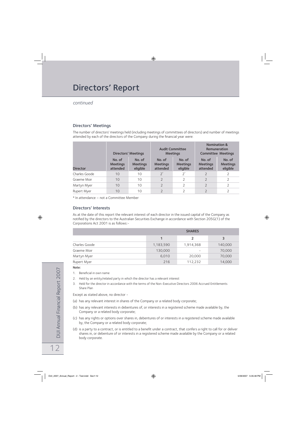## Directors' Meetings

The number of directors' meetings held (including meetings of committees of directors) and number of meetings attended by each of the directors of the Company during the financial year were:

|                 |                                       | <b>Directors' Meetings</b>            | <b>Audit Committee</b>                | <b>Meetings</b>                       | <b>Nomination &amp;</b><br>Remuneration<br><b>Committee Meetings</b> |                                       |
|-----------------|---------------------------------------|---------------------------------------|---------------------------------------|---------------------------------------|----------------------------------------------------------------------|---------------------------------------|
| <b>Director</b> | No. of<br><b>Meetings</b><br>attended | No. of<br><b>Meetings</b><br>eligible | No. of<br><b>Meetings</b><br>attended | No. of<br><b>Meetings</b><br>eligible | No. of<br><b>Meetings</b><br>attended                                | No. of<br><b>Meetings</b><br>eligible |
| Charles Goode   | 10                                    | 10                                    | $2^*$                                 | $2^*$                                 | $\overline{2}$                                                       |                                       |
| Graeme Moir     | 10                                    | 10                                    | 2                                     | 2                                     | 2                                                                    | 2                                     |
| Martyn Myer     | 10                                    | 10                                    | $\overline{2}$                        | 2                                     | 2                                                                    | 2                                     |
| Rupert Myer     | 10                                    | 10                                    | $\overline{2}$                        | C                                     | $\mathfrak{D}$                                                       | C                                     |

\* In attendance – not a Committee Member

### Directors' Interests

As at the date of this report the relevant interest of each director in the issued capital of the Company as notified by the directors to the Australian Securities Exchange in accordance with Section 205G(1) of the Corporations Act 2001 is as follows:-

|               | <b>SHARES</b> |                   |         |  |
|---------------|---------------|-------------------|---------|--|
|               |               | 2                 | 3       |  |
| Charles Goode | 1,183,590     | 1,914,368         | 140,000 |  |
| Graeme Moir   | 130,000       | $\qquad \qquad =$ | 70,000  |  |
| Martyn Myer   | 6,010         | 20,000            | 70,000  |  |
| Rupert Myer   | 216           | 112,232           | 14,000  |  |

Note:

- 1. Beneficial in own name
- 2. Held by an entity/related party in which the director has a relevant interest
- 3. Held for the director in accordance with the terms of the Non-Executive Directors 2006 Accrued Entitlements Share Plan

Except as stated above, no director -

- (a) has any relevant interest in shares of the Company or a related body corporate;
- (b) has any relevant interests in debentures of, or interests in a registered scheme made available by, the Company or a related body corporate;
- (c) has any rights or options over shares in, debentures of or interests in a registered scheme made available by, the Company or a related body corporate;
- (d) is a party to a contract, or is entitled to a benefi t under a contract, that confers a right to call for or deliver shares in, or debenture of or interests in a registered scheme made available by the Company or a related body corporate.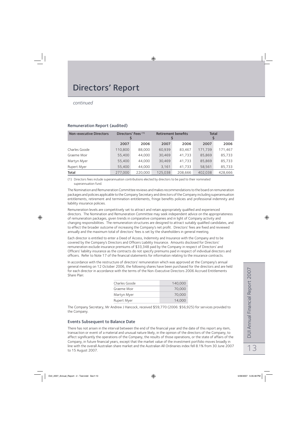| <b>Non-executive Directors</b> | Directors' Fees <sup>(1)</sup> |         | <b>Retirement benefits</b> |         | <b>Total</b> |         |
|--------------------------------|--------------------------------|---------|----------------------------|---------|--------------|---------|
|                                | 2007                           | 2006    | 2007                       | 2006    | 2007         | 2006    |
| Charles Goode                  | 110,800                        | 88,000  | 60,939                     | 83,467  | 171,739      | 171,467 |
| Graeme Moir                    | 55,400                         | 44,000  | 30,469                     | 41,733  | 85,869       | 85,733  |
| Martyn Myer                    | 55,400                         | 44,000  | 30,469                     | 41,733  | 85,869       | 85,733  |
| Rupert Myer                    | 55,400                         | 44,000  | 3,161                      | 41,733  | 58,561       | 85,733  |
| Total                          | 277,000                        | 220,000 | 125,038                    | 208,666 | 402,038      | 428,666 |

### Remuneration Report (audited)

(1) Directors fees include superannuation contributions elected by directors to be paid to their nominated superannuation fund.

The Nomination and Remuneration Committee reviews and makes recommendations to the board on remuneration packages and policies applicable to the Company Secretary and directors of the Company including superannuation entitlements, retirement and termination entitlements, fringe benefits policies and professional indemnity and liability insurance policies.

Remuneration levels are competitively set to attract and retain appropriately qualified and experienced directors. The Nomination and Remuneration Committee may seek independent advice on the appropriateness of remuneration packages, given trends in comparative companies and in light of Company activity and changing responsibilities. The remuneration structures are designed to attract suitably qualified candidates, and to effect the broader outcome of increasing the Company's net profit. Directors' fees are fixed and reviewed annually and the maximum total of directors' fees is set by the shareholders in general meeting.

Each director is entitled to enter a Deed of Access, Indemnity and Insurance with the Company and to be covered by the Company's Directors and Officers Liability Insurance. Amounts disclosed for Directors' remuneration exclude insurance premiums of \$33,348 paid by the Company in respect of Directors' and Officers' liability insurance as the contracts do not specify premiums paid in respect of individual directors and officers. Refer to Note 17 of the financial statements for information relating to the insurance contracts.

In accordance with the restructure of directors' remuneration which was approved at the Company's annual general meeting on 12 October 2006, the following shares have been purchased for the directors and are held for each director in accordance with the terms of the Non-Executive Directors 2006 Accrued Entitlements Share Plan:

| Charles Goode | 140,000 |
|---------------|---------|
| Graeme Moir   | 70,000  |
| Martyn Myer   | 70.000  |
| Rupert Myer   | 14.000  |

The Company Secretary, Mr Andrew J Hancock, received \$59,770 (2006: \$56,925) for services provided to the Company.

### Events Subsequent to Balance Date

There has not arisen in the interval between the end of the financial year and the date of this report any item, transaction or event of a material and unusual nature likely, in the opinion of the directors of the Company, to affect significantly the operations of the Company, the results of those operations, or the state of affairs of the Company, in future financial years, except that the market value of the investment portfolio moves broadly in line with the overall Australian share market and the Australian All Ordinaries index fell 8.1% from 30 June 2007 to 15 August 2007.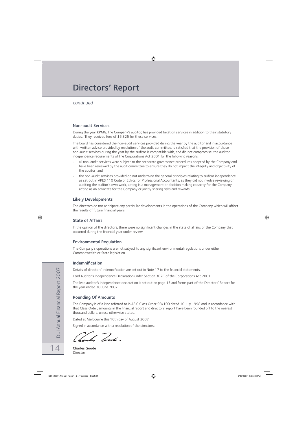## Directors' Report

*continued*

### Non-audit Services

During the year KPMG, the Company's auditor, has provided taxation services in addition to their statutory duties. They received fees of \$6,325 for these services.

The board has considered the non-audit services provided during the year by the auditor and in accordance with written advice provided by resolution of the audit committee, is satisfied that the provision of those non-audit services during the year by the auditor is compatible with, and did not compromise, the auditor independence requirements of the Corporations Act 2001 for the following reasons.

- all non-audit services were subject to the corporate governance procedures adopted by the Company and have been reviewed by the audit committee to ensure they do not impact the integrity and objectivity of the auditor; and
- the non-audit services provided do not undermine the general principles relating to auditor independence as set out in APES 110 Code of Ethics for Professional Accountants, as they did not involve reviewing or auditing the auditor's own work, acting in a management or decision making capacity for the Company, acting as an advocate for the Company or jointly sharing risks and rewards.

## Likely Developments

The directors do not anticipate any particular developments in the operations of the Company which will affect the results of future financial years.

## State of Affairs

In the opinion of the directors, there were no significant changes in the state of affairs of the Company that occurred during the financial year under review.

### Environmental Regulation

The Company's operations are not subject to any significant environmental regulations under either Commonwealth or State legislation.

#### Indemnification

Details of directors' indemnification are set out in Note 17 to the financial statements.

Lead Auditor's Independence Declaration under Section 307C of the Corporations Act 2001

The lead auditor's independence declaration is set out on page 15 and forms part of the Directors' Report for the year ended 30 June 2007.

## Rounding Of Amounts

The Company is of a kind referred to in ASIC Class Order 98/100 dated 10 July 1998 and in accordance with that Class Order, amounts in the financial report and directors' report have been rounded off to the nearest thousand dollars, unless otherwise stated.

Dated at Melbourne this 16th day of August 2007

Signed in accordance with a resolution of the directors:

harbs Took .

Charles Goode Director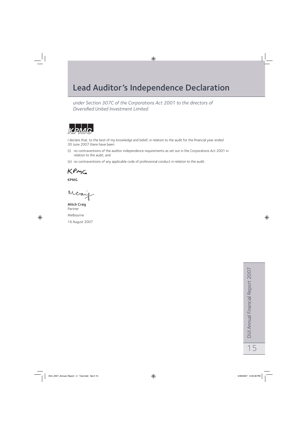## Lead Auditor's Independence Declaration

*under Section 307C of the Corporations Act 2001 to the directors of* **Diversified United Investment Limited** 



I declare that, to the best of my knowledge and belief, in relation to the audit for the financial year ended 30 June 2007 there have been:

- (i) no contraventions of the auditor independence requirements as set out in the Corporations Act 2001 in relation to the audit, and
- (ii) no contraventions of any applicable code of professional conduct in relation to the audit.

KPMC

KPMG

Moaig

Mitch Craig Partner

Melbourne 16 August 2007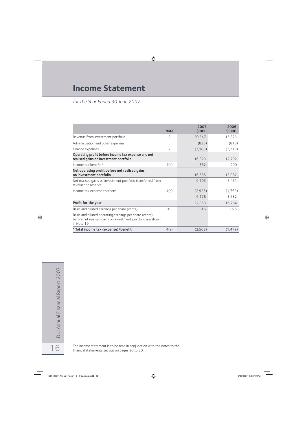## **Income Statement**

*for the Year Ended 30 June 2007*

|                                                                                                                                      | <b>Note</b> | 2007<br>\$'000 | 2006<br>\$'000 |
|--------------------------------------------------------------------------------------------------------------------------------------|-------------|----------------|----------------|
| Revenue from investment portfolio                                                                                                    | 2           | 20,347         | 15,823         |
| Administration and other expenses                                                                                                    |             | (836)          | (818)          |
| Finance expenses                                                                                                                     | 2           | (3, 188)       | (2, 213)       |
| Operating profit before income tax expense and net<br>realised gains on investment portfolio                                         |             | 16,323         | 12,792         |
| Income tax benefit *                                                                                                                 | 4(a)        | 362            | 290            |
| Net operating profit before net realised gains<br>on investment portfolio                                                            |             | 16,685         | 13,082         |
| Net realised gains on investment portfolio transferred from<br>revaluation reserve                                                   |             | 9,103          | 5,451          |
| Income tax expense thereon*                                                                                                          | 4(a)        | (2, 925)       | (1,769)        |
|                                                                                                                                      |             | 6,178          | 3,682          |
| Profit for the year                                                                                                                  |             | 22,863         | 16,764         |
| Basic and diluted earnings per share (cents)                                                                                         | 19          | 18.6           | 15.5           |
| Basic and diluted operating earnings per share (cents)<br>before net realised gains on investment portfolio are shown<br>in Note 19. |             |                |                |
| * Total income tax (expense)/benefit                                                                                                 | 4(a)        | (2, 563)       | (1, 479)       |

The income statement is to be read in conjunction with the notes to the financial statements set out on pages 20 to 30.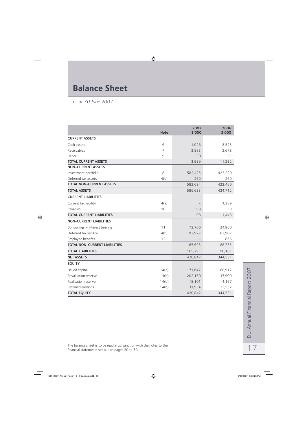# **Balance Sheet**

*as at 30 June 2007*

|                                      | <b>Note</b> | 2007<br>\$'000 | 2006<br>\$'000 |
|--------------------------------------|-------------|----------------|----------------|
| <b>CURRENT ASSETS</b>                |             |                |                |
| Cash assets                          | $6\,$       | 1,026          | 8,523          |
| Receivables                          | 7           | 2,883          | 2,678          |
| Other                                | 9           | 30             | 31             |
| <b>TOTAL CURRENT ASSETS</b>          |             | 3,939          | 11,232         |
| <b>NON-CURRENT ASSETS</b>            |             |                |                |
| Investment portfolio                 | 8           | 582,425        | 423,220        |
| Deferred tax assets                  | 4(b)        | 269            | 260            |
| <b>TOTAL NON-CURRENT ASSETS</b>      |             | 582,694        | 423,480        |
| <b>TOTAL ASSETS</b>                  |             | 586,633        | 434,712        |
| <b>CURRENT LIABILITIES</b>           |             |                |                |
| Current tax liability                | 4(a)        |                | 1,389          |
| Payables                             | 10          | 98             | 59             |
| <b>TOTAL CURRENT LIABILITIES</b>     |             | 98             | 1,448          |
| <b>NON-CURRENT LIABILITIES</b>       |             |                |                |
| Borrowings - interest bearing        | 11          | 72,766         | 24,960         |
| Deferred tax liability               | 4(b)        | 92,927         | 62,907         |
| Employee benefits                    | 13          |                | 866            |
| <b>TOTAL NON-CURRENT LIABILITIES</b> |             | 165,693        | 88,733         |
| <b>TOTAL LIABILITIES</b>             |             | 165,791        | 90,181         |
| <b>NET ASSETS</b>                    |             | 420,842        | 344,531        |
| <b>EQUITY</b>                        |             |                |                |
| Issued capital                       | 14(a)       | 171,647        | 168,912        |
| Revaluation reserve                  | 14(b)       | 202,160        | 137,900        |
| Realisation reserve                  | 14(b)       | 15,101         | 14,167         |
| Retained earnings                    | 14(b)       | 31,934         | 23,552         |
| <b>TOTAL EQUITY</b>                  |             | 420,842        | 344,531        |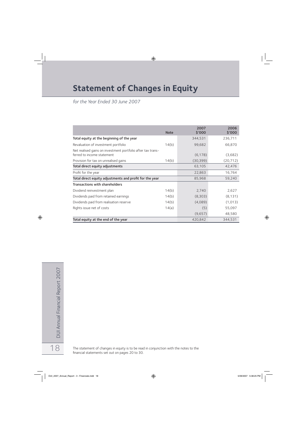# **Statement of Changes in Equity**

*for the Year Ended 30 June 2007*

|                                                                                           | <b>Note</b> | 2007<br>\$'000 | 2006<br>\$'000 |
|-------------------------------------------------------------------------------------------|-------------|----------------|----------------|
| Total equity at the beginning of the year                                                 |             | 344,531        | 236,711        |
| Revaluation of investment portfolio                                                       | 14(b)       | 99,682         | 66,870         |
| Net realised gains on investment portfolio after tax trans-<br>ferred to income statement |             | (6, 178)       | (3,682)        |
| Provision for tax on unrealised gains                                                     | 14(b)       | (30, 399)      | (20, 712)      |
| Total direct equity adjustments                                                           |             | 63,105         | 42,476         |
| Profit for the year                                                                       |             | 22,863         | 16,764         |
| Total direct equity adjustments and profit for the year                                   |             | 85,968         | 59,240         |
| Transactions with shareholders                                                            |             |                |                |
| Dividend reinvestment plan                                                                | 14(b)       | 2,740          | 2,627          |
| Dividends paid from retained earnings                                                     | 14(b)       | (8,303)        | (8, 131)       |
| Dividends paid from realisation reserve                                                   | 14(b)       | (4,089)        | (1,013)        |
| Rights issue net of costs                                                                 | 14(a)       | (5)            | 55,097         |
|                                                                                           |             | (9,657)        | 48,580         |
| Total equity at the end of the year                                                       |             | 420,842        | 344,531        |

DUI Annual Financial Report 2007  $\frac{1}{\infty}$  DUI Annual Financial Report 2007 18

The statement of changes in equity is to be read in conjunction with the notes to the financial statements set out on pages 20 to 30.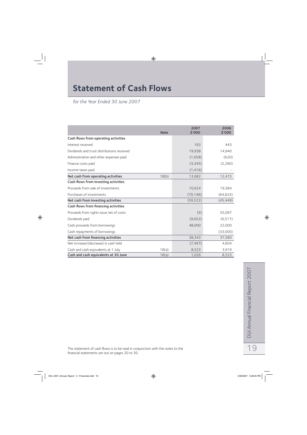# **Statement of Cash Flows**

*for the Year Ended 30 June 2007*

|                                            | <b>Note</b> | 2007<br>\$'000 | 2006<br>\$'000 |
|--------------------------------------------|-------------|----------------|----------------|
| Cash flows from operating activities       |             |                |                |
| Interest received                          |             | 163            | 443            |
| Dividends and trust distributions received |             | 19,938         | 14,940         |
| Administration and other expenses paid     |             | (1,658)        | (620)          |
| Finance costs paid                         |             | (3, 345)       | (2,290)        |
| Income taxes paid                          |             | (1, 416)       |                |
| Net cash from operating activities         | 18(b)       | 13,682         | 12,473         |
| Cash flows from investing activities       |             |                |                |
| Proceeds from sale of investments          |             | 10,624         | 19,384         |
| Purchases of investments                   |             | (70, 146)      | (64, 833)      |
| Net cash from investing activities         |             | (59, 522)      | (45, 449)      |
| Cash flows from financing activities       |             |                |                |
| Proceeds from rights issue net of costs    |             | (5)            | 55,097         |
| Dividends paid                             |             | (9,652)        | (6, 517)       |
| Cash proceeds from borrowings              |             | 48,000         | 22,000         |
| Cash repayments of borrowings              |             |                | (33,000)       |
| Net cash from financing activities         |             | 38,343         | 37,580         |
| Net increase/(decrease) in cash held       |             | (7, 497)       | 4,604          |
| Cash and cash equivalents at 1 July        | 18(a)       | 8,523          | 3,919          |
| Cash and cash equivalents at 30 June       | 18(a)       | 1,026          | 8,523          |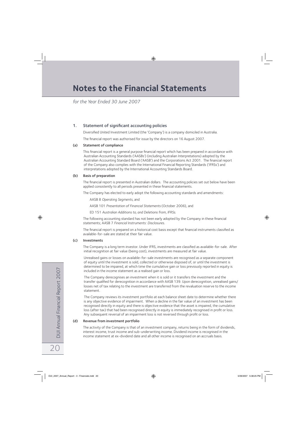*for the Year Ended 30 June 2007*

### 1. Statement of significant accounting policies

Diversified United Investment Limited (the 'Company') is a company domiciled in Australia.

The financial report was authorised for issue by the directors on 16 August 2007.

#### (a) Statement of compliance

This financial report is a general purpose financial report which has been prepared in accordance with Australian Accounting Standards ('AASBs') (including Australian Interpretations) adopted by the Australian Accounting Standard Board ('AASB') and the Corporations Act 2001. The financial report of the Company also complies with the International Financial Reporting Standards ('IFRSs') and interpretations adopted by the International Accounting Standards Board.

#### (b) Basis of preparation

The financial report is presented in Australian dollars. The accounting policies set out below have been applied consistently to all periods presented in these financial statements.

The Company has elected to early adopt the following accounting standards and amendments:

AASB 8 *Operating Segments*, and

AASB 101 *Presentation of Financial Statements* (October 2006), and

ED 151 *Australian Additions to, and Deletions from, IFRSs*.

The following accounting standard has not been early adopted by the Company in these financial statements; AASB 7 *Financial Instruments: Disclosures*.

The financial report is prepared on a historical cost basis except that financial instruments classified as available-for-sale are stated at their fair value.

#### (c) Investments

The Company is a long term investor. Under IFRS, investments are classified as available-for-sale. After initial recognition at fair value (being cost), investments are measured at fair value.

 Unrealised gains or losses on available-for-sale investments are recognised as a separate component of equity until the investment is sold, collected or otherwise disposed of, or until the investment is determined to be impaired, at which time the cumulative gain or loss previously reported in equity is included in the income statement as a realised gain or loss.

 The Company derecognises an investment when it is sold or it transfers the investment and the transfer qualified for derecognition in accordance with AASB 139. Upon derecognition, unrealised gains/ losses net of tax relating to the investment are transferred from the revaluation reserve to the income statement.

 The Company reviews its investment portfolio at each balance sheet date to determine whether there is any objective evidence of impairment. When a decline in the fair value of an investment has been recognised directly in equity and there is objective evidence that the asset is impaired, the cumulative loss (after tax) that had been recognised directly in equity is immediately recognised in profit or loss. Any subsequent reversal of an impairment loss is not reversed through profit or loss.

#### (d) Revenue from investment portfolio

 The activity of the Company is that of an investment company, returns being in the form of dividends, interest income, trust income and sub-underwriting income. Dividend income is recognised in the income statement at ex-dividend date and all other income is recognised on an accruals basis.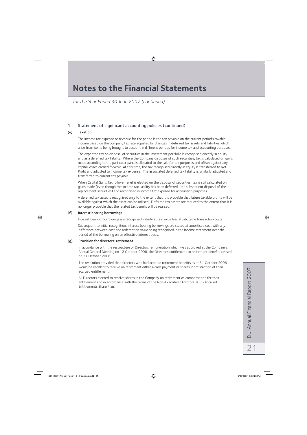*for the Year Ended 30 June 2007 (continued)*

## 1. Statement of significant accounting policies (continued)

#### (e) Taxation

 The income tax expense or revenue for the period is the tax payable on the current period's taxable income based on the company tax rate adjusted by changes in deferred tax assets and liabilities which arise from items being brought to account in different periods for income tax and accounting purposes.

 The expected tax on disposal of securities in the investment portfolio is recognised directly in equity and as a deferred tax liability. Where the Company disposes of such securities, tax is calculated on gains made according to the particular parcels allocated to the sale for tax purposes and offset against any capital losses carried forward. At this time, the tax recognised directly in equity is transferred to Net Profit and adjusted to income tax expense. The associated deferred tax liability is similarly adjusted and transferred to current tax payable.

When Capital Gains Tax rollover relief is elected on the disposal of securities, tax is still calculated on gains made (even though the income tax liability has been deferred until subsequent disposal of the replacement securities) and recognised in income tax expense for accounting purposes.

A deferred tax asset is recognised only to the extent that it is probable that future taxable profits will be available against which the asset can be utilised. Deferred tax assets are reduced to the extent that it is no longer probable that the related tax benefit will be realised.

#### (f) Interest bearing borrowings

Interest bearing borrowings are recognised initially at fair value less attributable transaction costs.

Subsequent to initial recognition, interest bearing borrowings are stated at amortised cost with any difference between cost and redemption value being recognised in the income statement over the period of the borrowing on an effective interest basis.

#### (g) Provision for directors' retirement

 In accordance with the restructure of Directors remuneration which was approved at the Company's Annual General Meeting on 12 October 2006, the Directors entitlement to retirement benefits ceased on 31 October 2006.

The resolution provided that directors who had accrued retirement benefits as at 31 October 2006 would be entitled to receive on retirement either a cash payment or shares in satisfaction of their accrued entitlement.

All Directors elected to receive shares in the Company on retirement as compensation for their entitlement and in accordance with the terms of the Non-Executive Directors 2006 Accrued Entitlements Share Plan.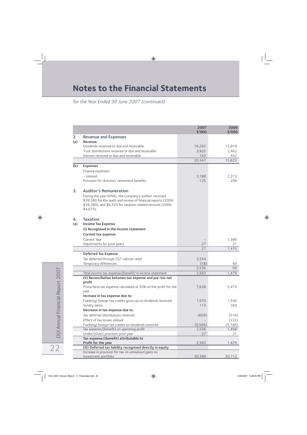*for the Year Ended 30 June 2007 (continued)*

|     |                                                                           | 2007<br>\$'000 | 2006<br>\$'000 |
|-----|---------------------------------------------------------------------------|----------------|----------------|
| 2.  | <b>Revenue and Expenses</b>                                               |                |                |
| (a) | Revenue                                                                   |                |                |
|     | Dividends received or due and receivable                                  | 16,262         | 12,919         |
|     | Trust distributions received or due and receivable                        | 3,922          | 2,462          |
|     | Interest received or due and receivable                                   | 163            | 442            |
|     |                                                                           | 20,347         | 15,823         |
| (b) | <b>Expenses</b>                                                           |                |                |
|     | Finance expenses:                                                         |                |                |
|     | - Interest                                                                | 3,188          | 2,213          |
|     | Provision for directors' retirement benefits                              | 125            | 209            |
| 3.  | <b>Auditor's Remuneration</b>                                             |                |                |
|     | During the year KPMG, the Company's auditor, received                     |                |                |
|     | \$39,380 for the audit and review of financial reports (2006:             |                |                |
|     | \$38,280), and \$6,325 for taxation related services (2006:               |                |                |
|     | $$4,675$ ).                                                               |                |                |
| 4.  | <b>Taxation</b>                                                           |                |                |
| (a) | Income Tax Expense                                                        |                |                |
|     | (i) Recognised in the income statement                                    |                |                |
|     | Current tax expense                                                       |                |                |
|     | Current Year                                                              |                | 1,389          |
|     | Adjustments for prior years                                               | 27             | 21             |
|     |                                                                           | 27             | 1,410          |
|     | <b>Deferred Tax Expense</b>                                               |                |                |
|     | Tax deferred through CGT rollover relief                                  | 2,554          |                |
|     | Temporary differences                                                     | (18)           | 69             |
|     |                                                                           | 2,536          | 69             |
|     | Total income tax expense/(benefit) in income statement                    | 2,563          | 1,479          |
|     | (ii) Reconciliation between tax expense and pre-tax net                   |                |                |
|     | profit<br>Prima facie tax expense calculated at 30% on the profit for the | 7,628          |                |
|     | year                                                                      |                | 5,473          |
|     | Increase in tax expense due to:                                           |                |                |
|     | Franking/ foreign tax credits gross up on dividends received              | 1,970          | 1,556          |
|     | Sundry items                                                              | 113            | 263            |
|     | Decrease in tax expense due to:                                           |                |                |
|     | Tax deferred distributions received                                       | (609)          | (516)          |
|     | Effect of tax losses utilised                                             |                | (132)          |
|     | Franking/ foreign tax credits on dividends received                       | (6, 566)       | (5, 186)       |
|     | Tax expense/(benefit) on operating profit                                 | 2,536          | 1,458          |
|     | Under/(Over) provision prior year                                         | 27             | 21             |
|     | Tax expense/(benefit) attributable to                                     |                |                |
|     | Profit for the year                                                       | 2,563          | 1,479          |
|     | (iii) Deferred tax liability recognised directly in equity                |                |                |
|     | Increase in provision for tax on unrealised gains on                      |                |                |
|     | investment portfolio                                                      | 30,399         | 20,712         |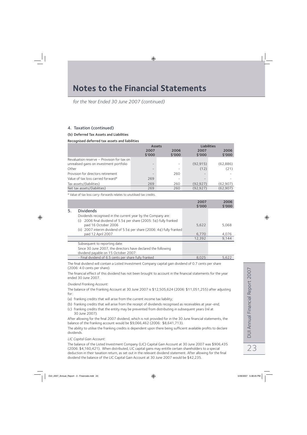*for the Year Ended 30 June 2007 (continued)*

### 4. Taxation (continued)

#### (b) Deferred Tax Assets and Liabilities

#### Recognised deferred tax assets and liabilities

|                                            | <b>Assets</b>            |                          | <b>Liabilities</b> |                |
|--------------------------------------------|--------------------------|--------------------------|--------------------|----------------|
|                                            | 2007<br>\$'000           | 2006<br>\$'000           | 2007<br>\$'000     | 2006<br>\$'000 |
| Revaluation reserve – Provision for tax on |                          |                          |                    |                |
| unrealised gains on investment portfolio   | $\qquad \qquad$          | $\overline{\phantom{0}}$ | (92, 915)          | (62,886)       |
| Other                                      | $\overline{\phantom{m}}$ | -                        | (12)               | (21)           |
| Provision for directors retirement         | $\overline{\phantom{m}}$ | 260                      |                    |                |
| Value of tax loss carried forward*         | 269                      |                          |                    |                |
| Tax assets/(liabilities)                   | 269                      | 260                      | (92, 927)          | (62, 907)      |
| Net tax assets/(liabilities)               | 269                      | 260                      | (92, 927)          | (62,907)       |

\* Value of tax loss carry-forwards relates to unutilised tax credits.

|    |                                                                         | 2007<br>\$'000 | 2006<br>\$'000 |
|----|-------------------------------------------------------------------------|----------------|----------------|
| 5. | <b>Dividends</b>                                                        |                |                |
|    | Dividends recognised in the current year by the Company are:            |                |                |
|    | 2006 final dividend of 5.5¢ per share (2005: 5¢) fully franked<br>(i)   |                |                |
|    | paid 16 October 2006                                                    | 5,622          | 5,068          |
|    | (ii) 2007 interim dividend of $5.5¢$ per share (2006: 4¢) fully franked |                |                |
|    | paid 12 April 2007                                                      | 6,770          | 4,076          |
|    |                                                                         | 12,392         | 9,144          |
|    | Subsequent to reporting date:                                           |                |                |
|    | Since 30 June 2007, the directors have declared the following           |                |                |
|    | dividend payable on 15 October 2007:                                    |                |                |
|    | - Final dividend of 6.5 cents per share fully franked                   | 8.025          | 5.622          |

The final dividend will contain a Listed Investment Company capital gain dividend of 0.7 cents per share (2006: 4.0 cents per share).

The financial effect of this dividend has not been brought to account in the financial statements for the year ended 30 June 2007.

#### *Dividend Franking Account:*

The balance of the Franking Account at 30 June 2007 is \$12,505,624 (2006: \$11,051,255) after adjusting for:

- (a) franking credits that will arise from the current income tax liability;
- (b) franking credits that will arise from the receipt of dividends recognised as receivables at year-end;
- (c) franking credits that the entity may be prevented from distributing in subsequent years (nil at 30 June 2007).

After allowing for the final 2007 dividend, which is not provided for in the 30 June financial statements, the balance of the franking account would be \$9,066,462 (2006: \$8,641,713).

The ability to utilise the franking credits is dependent upon there being sufficient available profits to declare dividends.

#### *LIC Capital Gain Account:*

The balance of the Listed Investment Company (LIC) Capital Gain Account at 30 June 2007 was \$906,435 (2006: \$4,160,421). When distributed, LIC capital gains may entitle certain shareholders to a special deduction in their taxation return, as set out in the relevant dividend statement. After allowing for the final dividend the balance of the LIC Capital Gain Account at 30 June 2007 would be \$42,235.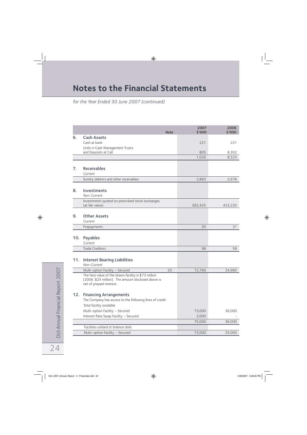*for the Year Ended 30 June 2007 (continued)*

|     | <b>Note</b>                                                                          | 2007<br>\$'000  | 2006<br>\$'000 |
|-----|--------------------------------------------------------------------------------------|-----------------|----------------|
| 6.  | <b>Cash Assets</b>                                                                   |                 |                |
|     | Cash at bank                                                                         | 221             | 221            |
|     | Units in Cash Management Trusts                                                      |                 |                |
|     | and Deposits at Call                                                                 | 805             | 8,302          |
|     |                                                                                      | 1,026           | 8,523          |
|     |                                                                                      |                 |                |
| 7.  | <b>Receivables</b><br>Current                                                        |                 |                |
|     | Sundry debtors and other receivables                                                 | 2,883           | 2,678          |
|     |                                                                                      |                 |                |
| 8.  | Investments                                                                          |                 |                |
|     | Non-Current                                                                          |                 |                |
|     | Investments quoted on prescribed stock exchanges                                     |                 |                |
|     | (at fair value)                                                                      | 582,425         | 423,220        |
|     |                                                                                      |                 |                |
| 9.  | <b>Other Assets</b>                                                                  |                 |                |
|     | Current                                                                              |                 |                |
|     | Prepayments                                                                          | 30              | 31             |
|     |                                                                                      |                 |                |
| 10. | <b>Payables</b>                                                                      |                 |                |
|     | Current<br><b>Trade Creditors</b>                                                    |                 | 59             |
|     |                                                                                      | 98              |                |
| 11. | <b>Interest Bearing Liabilities</b>                                                  |                 |                |
|     | Non-Current                                                                          |                 |                |
|     | Multi-option Facility - Secured<br>20                                                | 72,766          | 24,960         |
|     | The face value of the drawn facility is \$73 million                                 |                 |                |
|     | (2006: \$25 million). The amount disclosed above is                                  |                 |                |
|     | net of prepaid interest.                                                             |                 |                |
|     |                                                                                      |                 |                |
| 12. | <b>Financing Arrangements</b>                                                        |                 |                |
|     | The Company has access to the following lines of credit:<br>Total facility available |                 |                |
|     | Multi-option Facility - Secured                                                      |                 |                |
|     |                                                                                      | 73,000          | 36,000         |
|     | Interest Rate Swap Facility - Secured                                                | 2,000<br>75,000 | 36,000         |
|     | Facilities utilised at balance date                                                  |                 |                |
|     | Multi-option Facility - Secured                                                      | 73,000          | 25,000         |
|     |                                                                                      |                 |                |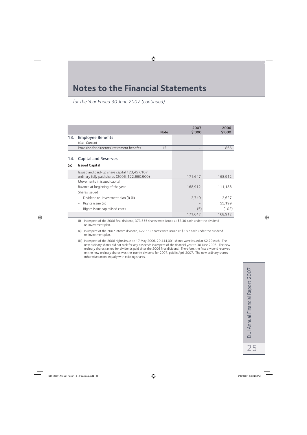*for the Year Ended 30 June 2007 (continued)*

|     |                                                    | 2007    | 2006    |
|-----|----------------------------------------------------|---------|---------|
|     | <b>Note</b>                                        | \$'000  | \$'000  |
| 13. | <b>Employee Benefits</b>                           |         |         |
|     | Non-Current                                        |         |         |
|     | Provision for directors' retirement benefits<br>15 |         | 866     |
|     |                                                    |         |         |
| 14. | <b>Capital and Reserves</b>                        |         |         |
| (a) | <b>Issued Capital</b>                              |         |         |
|     | Issued and paid-up share capital 123,457,107       |         |         |
|     | ordinary fully paid shares (2006: 122,660,900)     | 171,647 | 168,912 |
|     | Movements in issued capital                        |         |         |
|     | Balance at beginning of the year                   | 168,912 | 111,188 |
|     | Shares issued                                      |         |         |
|     | Dividend re-investment plan (i) (ii)               | 2,740   | 2,627   |
|     | Rights issue (iii)                                 |         | 55,199  |
|     | Rights issue capitalised costs                     | (5)     | (102)   |
|     |                                                    | 171,647 | 168,912 |

(i) In respect of the 2006 final dividend, 373,655 shares were issued at \$3.30 each under the dividend re-investment plan.

(ii) In respect of the 2007 interim dividend, 422,552 shares were issued at \$3.57 each under the dividend re-investment plan.

(iii) In respect of the 2006 rights issue on 17 May 2006, 20,444,001 shares were issued at \$2.70 each. The new ordinary shares did not rank for any dividends in respect of the financial year to 30 June 2006. The new ordinary shares ranked for dividends paid after the 2006 final dividend. Therefore, the first dividend received on the new ordinary shares was the interim dividend for 2007, paid in April 2007. The new ordinary shares otherwise ranked equally with existing shares.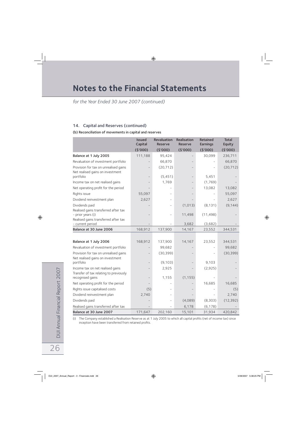*for the Year Ended 30 June 2007 (continued)*

## 14. Capital and Reserves (continued)

#### (b) Reconciliation of movements in capital and reserves

|                                                                                        | <b>Issued</b><br>Capital | Revaluation<br><b>Reserve</b> | Realisation<br>Reserve | <b>Retained</b><br><b>Earnings</b> | <b>Total</b><br>Equity |
|----------------------------------------------------------------------------------------|--------------------------|-------------------------------|------------------------|------------------------------------|------------------------|
|                                                                                        | (5'000)                  | (5'000)                       | (5'000)                | (5'000)                            | (5'000)                |
| Balance at 1 July 2005                                                                 | 111,188                  | 95,424                        |                        | 30,099                             | 236,711                |
| Revaluation of investment portfolio                                                    |                          | 66,870                        |                        |                                    | 66,870                 |
| Provision for tax on unrealised gains<br>Net realised gains on investment<br>portfolio |                          | (20, 712)<br>(5,451)          |                        | 5,451                              | (20, 712)              |
| Income tax on net realised gains                                                       |                          | 1,769                         |                        | (1,769)                            |                        |
| Net operating profit for the period                                                    |                          |                               |                        | 13,082                             | 13,082                 |
| Rights issue                                                                           | 55,097                   |                               |                        |                                    | 55,097                 |
| Dividend reinvestment plan                                                             | 2,627                    |                               |                        |                                    | 2,627                  |
| Dividends paid<br>Realised gains transferred after tax                                 |                          |                               | (1,013)                | (8, 131)                           | (9, 144)               |
| - prior years (i)<br>Realised gains transferred after tax                              |                          |                               | 11,498                 | (11, 498)                          |                        |
| - current period                                                                       |                          |                               | 3,682                  | (3,682)                            |                        |
| Balance at 30 June 2006                                                                | 168,912                  | 137,900                       | 14,167                 | 23,552                             | 344,531                |
|                                                                                        |                          |                               |                        |                                    |                        |
| Balance at 1 July 2006                                                                 | 168,912                  | 137,900                       | 14,167                 | 23,552                             | 344,531                |
| Revaluation of investment portfolio                                                    |                          | 99,682                        |                        |                                    | 99,682                 |
| Provision for tax on unrealised gains<br>Net realised gains on investment              |                          | (30, 399)                     |                        |                                    | (30, 399)              |
| portfolio                                                                              |                          | (9, 103)                      |                        | 9,103                              |                        |
| Income tax on net realised gains<br>Transfer of tax relating to previously             |                          | 2,925                         |                        | (2, 925)                           |                        |
| recognised gains                                                                       |                          | 1,155                         | (1, 155)               |                                    |                        |
| Net operating profit for the period                                                    |                          |                               |                        | 16,685                             | 16,685                 |
| Rights issue capitalised costs                                                         | (5)                      |                               |                        |                                    | (5)                    |
| Dividend reinvestment plan                                                             | 2,740                    |                               |                        |                                    | 2,740                  |
| Dividends paid                                                                         |                          |                               | (4,089)                | (8,303)                            | (12, 392)              |
| Realised gains transferred after tax                                                   |                          |                               | 6,178                  | (6, 178)                           |                        |
| Balance at 30 June 2007                                                                | 171,647                  | 202,160                       | 15,101                 | 31,934                             | 420,842                |

(i) The Company established a Realisation Reserve as at 1 July 2005 to which all capital profits (net of income tax) since inception have been transferred from retained profits.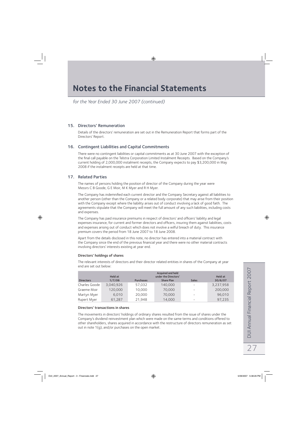*for the Year Ended 30 June 2007 (continued)*

### 15. Directors' Remuneration

 Details of the directors' remuneration are set out in the Remuneration Report that forms part of the Directors' Report.

### 16. Contingent Liabilities and Capital Commitments

There were no contingent liabilities or capital commitments as at 30 June 2007 with the exception of the final call payable on the Telstra Corporation Limited Instalment Receipts. Based on the Company's current holding of 2,000,000 instalment receipts, the Company expects to pay \$3,200,000 in May 2008 if the instalment receipts are held at that time.

### 17. Related Parties

The names of persons holding the position of director of the Company during the year were Messrs C B Goode, G E Moir, M K Myer and R H Myer.

The Company has indemnified each current director and the Company Secretary against all liabilities to another person (other than the Company or a related body corporate) that may arise from their position with the Company except where the liability arises out of conduct involving a lack of good faith. The agreements stipulate that the Company will meet the full amount of any such liabilities, including costs and expenses.

The Company has paid insurance premiums in respect of directors' and officers' liability and legal expenses insurance, for current and former directors and officers, insuring them against liabilities, costs and expenses arising out of conduct which does not involve a wilful breach of duty. This insurance premium covers the period from 18 June 2007 to 18 June 2008.

Apart from the details disclosed in this note, no director has entered into a material contract with the Company since the end of the previous financial year and there were no other material contracts involving directors' interests existing at year end.

#### Directors' holdings of shares

 The relevant interests of directors and their director related entities in shares of the Company at year end are set out below:

|                  | Held at   | Acquired and held<br>under the Directors'<br>Held at |                   |              |           |  |
|------------------|-----------|------------------------------------------------------|-------------------|--------------|-----------|--|
| <b>Directors</b> | 1/7/06    | <b>Purchases</b>                                     | <b>Share Plan</b> | <b>Sales</b> | 30/6/07   |  |
| Charles Goode    | 3,040,926 | 57,032                                               | 140,000           |              | 3,237,958 |  |
| Graeme Moir      | 120,000   | 10,000                                               | 70,000            |              | 200,000   |  |
| Martyn Myer      | 6.010     | 20,000                                               | 70,000            | -            | 96,010    |  |
| Rupert Myer      | 61,287    | 21,948                                               | 14,000            |              | 97,235    |  |

#### Directors' transactions in shares

The movements in directors' holdings of ordinary shares resulted from the issue of shares under the Company's dividend reinvestment plan which were made on the same terms and conditions offered to other shareholders, shares acquired in accordance with the restructure of directors remuneration as set out in note 1(g), and/or purchases on the open market.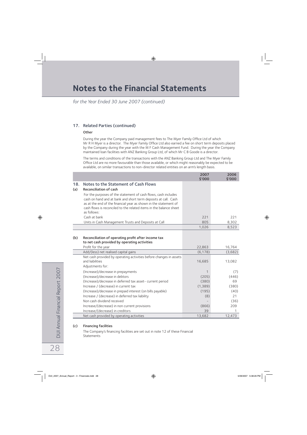*for the Year Ended 30 June 2007 (continued)*

## 17. Related Parties (continued)

#### **Other**

During the year the Company paid management fees to The Myer Family Office Ltd of which Mr R H Myer is a director. The Myer Family Office Ltd also earned a fee on short term deposits placed by the Company during the year with the M F Cash Management Fund. During the year the Company maintained loan facilities with ANZ Banking Group Ltd, of which Mr C B Goode is a director.

 The terms and conditions of the transactions with the ANZ Banking Group Ltd and The Myer Family Office Ltd are no more favourable than those available, or which might reasonably be expected to be available, on similar transactions to non-director related entities on an arm's length basis.

|            |                                                                                                                                                                                                                                                                                           | 2007<br>\$'000 | 2006<br>\$'000 |
|------------|-------------------------------------------------------------------------------------------------------------------------------------------------------------------------------------------------------------------------------------------------------------------------------------------|----------------|----------------|
| 18.<br>(a) | Notes to the Statement of Cash Flows<br>Reconciliation of cash                                                                                                                                                                                                                            |                |                |
|            | For the purposes of the statement of cash flows, cash includes<br>cash on hand and at bank and short term deposits at call. Cash<br>as at the end of the financial year as shown in the statement of<br>cash flows is reconciled to the related items in the balance sheet<br>as follows: |                |                |
|            | Cash at bank                                                                                                                                                                                                                                                                              | 221            | 221            |
|            | Units in Cash Management Trusts and Deposits at Call                                                                                                                                                                                                                                      | 805            | 8,302          |
|            |                                                                                                                                                                                                                                                                                           | 1,026          | 8,523          |
|            |                                                                                                                                                                                                                                                                                           |                |                |
| (b)        | Reconciliation of operating profit after income tax                                                                                                                                                                                                                                       |                |                |
|            | to net cash provided by operating activities                                                                                                                                                                                                                                              |                |                |
|            | Profit for the year                                                                                                                                                                                                                                                                       | 22,863         | 16,764         |
|            | Add/(less) net realised capital gains                                                                                                                                                                                                                                                     | (6, 178)       | (3,682)        |
|            | Net cash provided by operating activities before changes in assets<br>and liabilities                                                                                                                                                                                                     | 16,685         | 13,082         |
|            | Adjustments for:                                                                                                                                                                                                                                                                          |                |                |
|            | (Increase)/decrease in prepayments                                                                                                                                                                                                                                                        | 1              | (7)            |
|            | (Increase)/decrease in debtors                                                                                                                                                                                                                                                            | (205)          | (446)          |
|            | (Increase)/decrease in deferred tax asset- current period                                                                                                                                                                                                                                 | (380)          | 69             |
|            | Increase / (decrease) in current tax                                                                                                                                                                                                                                                      | (1, 389)       | (380)          |
|            | (Increase)/decrease in prepaid interest (on bills payable)                                                                                                                                                                                                                                | (195)          | (40)           |
|            | Increase / (decrease) in deferred tax liability                                                                                                                                                                                                                                           | (8)            | 21             |
|            | Non cash dividend received                                                                                                                                                                                                                                                                |                | (36)           |
|            | Increase/(decrease) in non current provisions                                                                                                                                                                                                                                             | (866)          | 209            |
|            | Increase/(decrease) in creditors                                                                                                                                                                                                                                                          | 39             |                |
|            | Net cash provided by operating activities                                                                                                                                                                                                                                                 | 13,682         | 12,473         |

#### (c) Financing facilities

The Company's financing facilities are set out in note 12 of these Financial Statements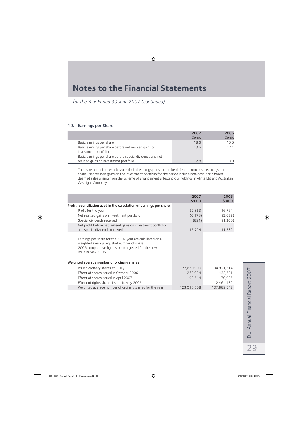*for the Year Ended 30 June 2007 (continued)*

### 19. Earnings per Share

|                                                                               | 2007<br>Cents | 2006<br>Cents |
|-------------------------------------------------------------------------------|---------------|---------------|
| Basic earnings per share                                                      | 18.6          | 15.5          |
| Basic earnings per share before net realised gains on<br>investment portfolio | 13.6          | 121           |
| Basic earnings per share before special dividends and net                     |               |               |
| realised gains on investment portfolio                                        | 12.8          | 1 N 9         |

There are no factors which cause diluted earnings per share to be different from basic earnings per share. Net realised gains on the investment portfolio for the period include non-cash, scrip based deemed sales arising from the scheme of arrangement affecting our holdings in Alinta Ltd and Australian Gas Light Company.

|                                                                                                                                                                                     | 2007<br>\$'000 | 2006<br>\$'000 |
|-------------------------------------------------------------------------------------------------------------------------------------------------------------------------------------|----------------|----------------|
| Profit reconciliation used in the calculation of earnings per share                                                                                                                 |                |                |
| Profit for the year                                                                                                                                                                 | 22,863         | 16,764         |
| Net realised gains on investment portfolio                                                                                                                                          | (6, 178)       | (3,682)        |
| Special dividends received                                                                                                                                                          | (891)          | (1,300)        |
| Net profit before net realised gains on investment portfolio<br>and special dividends received                                                                                      | 15,794         | 11,782         |
| Earnings per share for the 2007 year are calculated on a<br>weighted average adjusted number of shares.<br>2006 comparative figures been adjusted for the new<br>issue in May 2006. |                |                |
| Weighted average number of ordinary shares                                                                                                                                          |                |                |
| Issued ordinary shares at 1 July                                                                                                                                                    | 122,660,900    | 104,921,314    |
| Effect of shares issued in October 2006                                                                                                                                             | 263,094        | 433,721        |
| Effect of shares issued in April 2007                                                                                                                                               | 92,614         | 70,025         |
| Effect of rights shares issued in May 2006                                                                                                                                          |                | 2,464,482      |
| Weighted average number of ordinary shares for the year                                                                                                                             | 123,016,608    | 107,889,542    |

DUI Annual Financial Report 2007 20D<br>20D<br>20D<br>2007  $\overline{29}$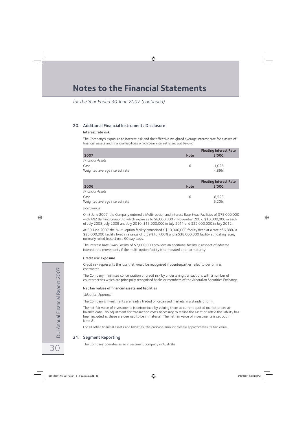*for the Year Ended 30 June 2007 (continued)*

## 20. Additional Financial Instruments Disclosure

#### Interest rate risk

 The Company's exposure to interest risk and the effective weighted average interest rate for classes of financial assets and financial liabilities which bear interest is set out below:

|                                |             | <b>Floating Interest Rate</b> |
|--------------------------------|-------------|-------------------------------|
| 2007                           | <b>Note</b> | \$'000                        |
| <b>Financial Assets</b>        |             |                               |
| Cash                           | 6           | 1,026                         |
| Weighted average interest rate |             | 4.89%                         |
|                                |             |                               |
|                                |             | <b>Floating Interest Rate</b> |

|   | <b>Floating Interest Rate</b> |
|---|-------------------------------|
|   | \$'000                        |
|   |                               |
| h | 8,523                         |
|   | 5.20%                         |
|   | <b>Note</b>                   |

#### *Borrowings*

On 8 June 2007, the Company entered a Multi-option and Interest Rate Swap Facilities of \$75,000,000 with ANZ Banking Group Ltd which expire as to \$8,000,000 in November 2007, \$10,000,000 in each of July 2008, July 2009 and July 2010, \$15,000,000 in July 2011 and \$22,000,000 in July 2012.

At 30 June 2007 the Multi-option facility comprised a \$10,000,000 facility fixed at a rate of 6.88%, a \$25,000,000 facility fixed in a range of 5.59% to 7.00% and a \$38,000,000 facility at floating rates, normally rolled (reset) on a 90 day basis.

The Interest Rate Swap Facility of \$2,000,000 provides an additional facility in respect of adverse interest rate movements if the multi-option facility is terminated prior to maturity.

#### Credit risk exposure

Credit risk represents the loss that would be recognised if counterparties failed to perform as contracted.

The Company minimises concentration of credit risk by undertaking transactions with a number of counterparties which are principally recognised banks or members of the Australian Securities Exchange.

#### Net fair values of financial assets and liabilities

#### *Valuation Approach*

The Company's investments are readily traded on organised markets in a standard form.

 The net fair value of investments is determined by valuing them at current quoted market prices at balance date. No adjustment for transaction costs necessary to realise the asset or settle the liability has been included as these are deemed to be immaterial. The net fair value of investments is set out in Note 8.

For all other financial assets and liabilities, the carrying amount closely approximates its fair value.

## 21. Segment Reporting

The Company operates as an investment company in Australia.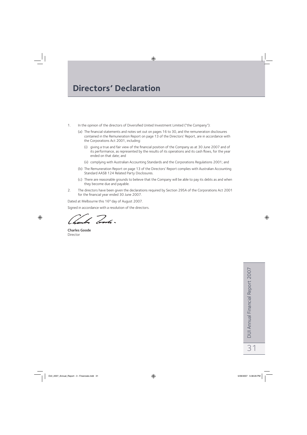- 1. In the opinion of the directors of Diversified United Investment Limited ("the Company"):
	- (a) The financial statements and notes set out on pages 16 to 30, and the remuneration disclosures contained in the Remuneration Report on page 13 of the Directors' Report, are in accordance with the Corporations Act 2001, including:
		- (i) giving a true and fair view of the financial position of the Company as at 30 June 2007 and of its performance, as represented by the results of its operations and its cash flows, for the year ended on that date; and
		- (ii) complying with Australian Accounting Standards and the Corporations Regulations 2001; and
	- (b) The Remuneration Report on page 13 of the Directors' Report complies with Australian Accounting Standard AASB 124 Related Party Disclosures.
	- (c) There are reasonable grounds to believe that the Company will be able to pay its debts as and when they become due and payable.
- 2. The directors have been given the declarations required by Section 295A of the Corporations Act 2001 for the financial year ended 30 June 2007.

Dated at Melbourne this 16<sup>th</sup> day of August 2007.

Signed in accordance with a resolution of the directors.

1. Tools.

Charles Goode Director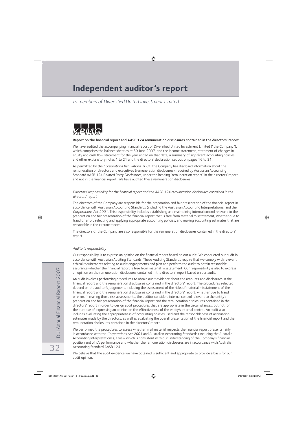# **Independent auditor's report**

to members of Diversified United Investment Limited



#### Report on the financial report and AASB 124 remuneration disclosures contained in the directors' report

We have audited the accompanying financial report of Diversified United Investment Limited ("the Company"), which comprises the balance sheet as at 30 June 2007, and the income statement, statement of changes in equity and cash flow statement for the year ended on that date, a summary of significant accounting policies and other explanatory notes 1 to 21 and the directors' declaration set out on pages 16 to 31.

As permitted by the *Corporations Regulations 2001*, the Company has disclosed information about the remuneration of directors and executives (remuneration disclosures), required by Australian Accounting Standard AASB 124 R*elated Party Disclosures*, under the heading "remuneration report" in the directors' report and not in the financial report. We have audited these remuneration disclosures.

#### *Directors' responsibility for the financial report and the AASB 124 remuneration disclosures contained in the directors' report*

The directors of the Company are responsible for the preparation and fair presentation of the financial report in accordance with Australian Accounting Standards (including the Australian Accounting Interpretations) and the *Corporations Act 2001*. This responsibility includes establishing and maintaining internal control relevant to the preparation and fair presentation of the financial report that is free from material misstatement, whether due to fraud or error; selecting and applying appropriate accounting policies; and making accounting estimates that are reasonable in the circumstances.

The directors of the Company are also responsible for the remuneration disclosures contained in the directors' report.

#### *Auditor's responsibility*

Our responsibility is to express an opinion on the financial report based on our audit. We conducted our audit in accordance with Australian Auditing Standards. These Auditing Standards require that we comply with relevant ethical requirements relating to audit engagements and plan and perform the audit to obtain reasonable assurance whether the financial report is free from material misstatement. Our responsibility is also to express an opinion on the remuneration disclosures contained in the directors' report based on our audit.

An audit involves performing procedures to obtain audit evidence about the amounts and disclosures in the financial report and the remuneration disclosures contained in the directors' report. The procedures selected depend on the auditor's judgement, including the assessment of the risks of material misstatement of the financial report and the remuneration disclosures contained in the directors' report, whether due to fraud or error. In making those risk assessments, the auditor considers internal control relevant to the entity's preparation and fair presentation of the financial report and the remuneration disclosures contained in the directors' report in order to design audit procedures that are appropriate in the circumstances, but not for the purpose of expressing an opinion on the effectiveness of the entity's internal control. An audit also includes evaluating the appropriateness of accounting policies used and the reasonableness of accounting estimates made by the directors, as well as evaluating the overall presentation of the financial report and the remuneration disclosures contained in the directors' report.

We performed the procedures to assess whether in all material respects the financial report presents fairly, in accordance with the *Corporations Act 2001* and Australian Accounting Standards (including the Australia Accounting Interpretations), a view which is consistent with our understanding of the Company's financial position and of it's performance and whether the remuneration disclosures are in accordance with Australian Accounting Standard AASB 124.

We believe that the audit evidence we have obtained is sufficient and appropriate to provide a basis for our audit opinion.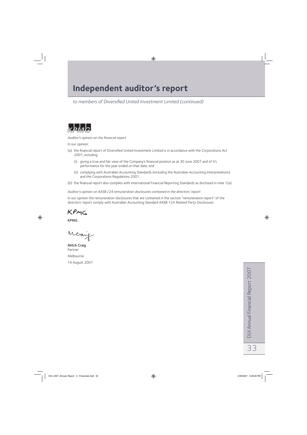## **Independent auditor's report**

to members of Diversified United Investment Limited (continued)



Auditor's opinion on the financial report

In our opinion:

- (a) the financial report of Diversified United Investment Limited is in accordance with the *Corporations Act 2001*, including:
	- (i) giving a true and fair view of the Company's financial position as at 30 June 2007 and of it's performance for the year ended on that date; and
	- (ii) complying with Australian Accounting Standards (including the Australian Accounting Interpretations) and the Corporations Regulations 2001.
- (b) the financial report also complies with International Financial Reporting Standards as disclosed in note  $1(a)$ .

*Auditor's opinion on AASB /24 remuneration disclosures contained in the directors' report*

In our opinion the remuneration disclosures that are contained in the section "remuneration report" of the directors' report comply with Australian Accounting Standard AASB 124 *Related Party Disclosures*.

KPMC

KPMG

Moaig

Mitch Craig Partner

Melbourne 16 August 2007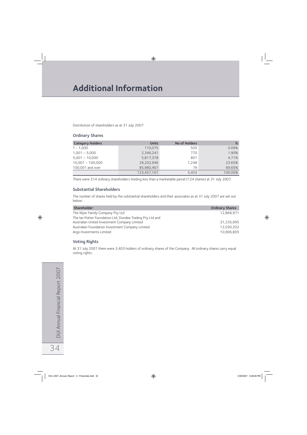Distribution of shareholders as at 31 July 2007.

### Ordinary Shares

| <b>Category Holders</b> | <b>Units</b> | No of Holders | %       |
|-------------------------|--------------|---------------|---------|
| $1 - 1,000$             | 110,075      | 505           | 0.09%   |
| $1,001 - 5,000$         | 2,346,241    | 770           | 1.90%   |
| $5,001 - 10,000$        | 5,817,378    | 801           | 4.71%   |
| $10,001 - 100,000$      | 29,202,946   | 1,248         | 23.65%  |
| 100,001 and over        | 85,980,467   | 79            | 69.65%  |
|                         | 123,457,107  | 3,403         | 100.00% |

There were 314 ordinary shareholders holding less than a marketable parcel (124 shares) at 31 July 2007.

## Substantial Shareholders

The number of shares held by the substantial shareholders and their associates as at 31 July 2007 are set out below:

| <b>Shareholder</b>                                        | <b>Ordinary Shares</b> |
|-----------------------------------------------------------|------------------------|
| The Myer Family Company Pty Ltd                           | 12,868,971             |
| The Ian Potter Foundation Ltd, Dundee Trading Pty Ltd and |                        |
| Australian United Investment Company Limited              | 31.235.995             |
| Australian Foundation Investment Company Limited          | 12,030,202             |
| Argo Investments Limited                                  | 10,906,805             |

## Voting Rights

At 31 July 2007 there were 3,403 holders of ordinary shares of the Company. All ordinary shares carry equal voting rights.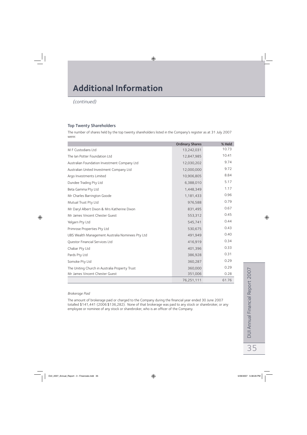*(continued)*

## Top Twenty Shareholders

The number of shares held by the top twenty shareholders listed in the Company's register as at 31 July 2007 were:

|                                                  | <b>Ordinary Shares</b> | % Held |
|--------------------------------------------------|------------------------|--------|
| M F Custodians Ltd                               | 13,242,031             | 10.73  |
| The Ian Potter Foundation Ltd                    | 12,847,985             | 10.41  |
| Australian Foundation Investment Company Ltd     | 12,030,202             | 9.74   |
| Australian United Investment Company Ltd         | 12,000,000             | 9.72   |
| Argo Investments Limited                         | 10,906,805             | 8.84   |
| Dundee Trading Pty Ltd                           | 6,388,010              | 5.17   |
| Beta Gamma Pty Ltd                               | 1,448,349              | 1.17   |
| Mr Charles Barrington Goode                      | 1,181,433              | 0.96   |
| Mutual Trust Pty Ltd                             | 976,588                | 0.79   |
| Mr Daryl Albert Dixon & Mrs Katherine Dixon      | 831,495                | 0.67   |
| Mr James Vincent Chester Guest                   | 553,312                | 0.45   |
| Yelgarn Pty Ltd                                  | 545,741                | 0.44   |
| Primrose Properties Pty Ltd                      | 530,675                | 0.43   |
| UBS Wealth Management Australia Nominees Pty Ltd | 491,949                | 0.40   |
| Questor Financial Services Ltd                   | 416,919                | 0.34   |
| Chabar Pty Ltd                                   | 401,396                | 0.33   |
| Pards Pty Ltd                                    | 386,928                | 0.31   |
| Somoke Pty Ltd                                   | 360,287                | 0.29   |
| The Uniting Church in Australia Property Trust   | 360,000                | 0.29   |
| Mr James Vincent Chester Guest                   | 351,006                | 0.28   |
|                                                  | 76,251,111             | 61.76  |

#### *Brokerage Paid*

The amount of brokerage paid or charged to the Company during the financial year ended 30 June 2007 totalled \$141,441 (2006:\$136,282). None of that brokerage was paid to any stock or sharebroker, or any employee or nominee of any stock or sharebroker, who is an officer of the Company.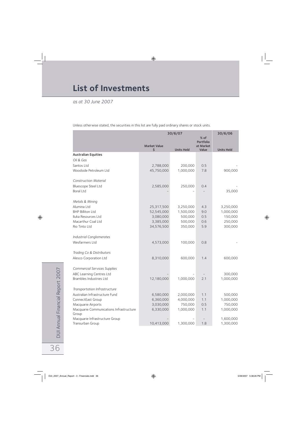## **List of Investments**

*as at 30 June 2007*

Unless otherwise stated, the securities in this list are fully paid ordinary shares or stock units.

|                                         | 30/6/07                   | 30/6/06           |                                         |                   |
|-----------------------------------------|---------------------------|-------------------|-----------------------------------------|-------------------|
|                                         | <b>Market Value</b><br>\$ | <b>Units Held</b> | % of<br>Portfolio<br>at Market<br>Value | <b>Units Held</b> |
| <b>Australian Equities</b>              |                           |                   |                                         |                   |
| Oil & Gas                               |                           |                   |                                         |                   |
| Santos Ltd                              | 2,788,000                 | 200,000           | 0.5                                     |                   |
| Woodside Petroleum Ltd                  | 45,750,000                | 1,000,000         | 7.8                                     | 900,000           |
|                                         |                           |                   |                                         |                   |
| <b>Construction Material</b>            |                           |                   |                                         |                   |
| <b>Bluescope Steel Ltd</b>              | 2,585,000                 | 250,000           | 0.4                                     |                   |
| <b>Boral Ltd</b>                        |                           |                   |                                         | 35,000            |
|                                         |                           |                   |                                         |                   |
| Metals & Mining                         |                           |                   |                                         |                   |
| Alumina Ltd                             | 25,317,500                | 3,250,000         | 4.3                                     | 3,250,000         |
| <b>BHP Billiton Ltd</b>                 | 52,545,000                | 1,500,000         | 9.0                                     | 1,000,000         |
| Iluka Resources Ltd                     | 3,080,000                 | 500,000           | 0.5                                     | 150,000           |
| Macarthur Coal Ltd                      | 3,385,000                 | 500,000           | 0.6                                     | 250,000           |
| Rio Tinto Ltd                           | 34,576,500                | 350,000           | 5.9                                     | 300,000           |
| Industrial Conglomerates                |                           |                   |                                         |                   |
| Wesfarmers Ltd                          | 4,573,000                 | 100,000           | 0.8                                     |                   |
| Trading Co & Distributors               |                           |                   |                                         |                   |
| Alesco Corporation Ltd                  | 8,310,000                 | 600,000           | 1.4                                     | 600,000           |
|                                         |                           |                   |                                         |                   |
| <b>Commercial Services Supplies</b>     |                           |                   |                                         |                   |
| ABC Learning Centres Ltd                |                           |                   |                                         | 300,000           |
| Brambles Industries Ltd                 | 12,180,000                | 1,000,000         | 2.1                                     | 1,000,000         |
| Transportation Infrastructure           |                           |                   |                                         |                   |
| Australian Infrastructure Fund          | 6,580,000                 | 2,000,000         | 1.1                                     | 500,000           |
| ConnectEast Group                       | 6,360,000                 | 4,000,000         | 1.1                                     | 1,000,000         |
| Macquarie Airports                      | 3,030,000                 | 750,000           | 0.5                                     | 750,000           |
| Macquarie Communications Infrastructure | 6,330,000                 | 1,000,000         | 1.1                                     | 1,000,000         |
| Group                                   |                           |                   |                                         |                   |
| Macquarie Infrastructure Group          |                           |                   |                                         | 1,600,000         |
| Transurban Group                        | 10,413,000                | 1,300,000         | 1.8                                     | 1,300,000         |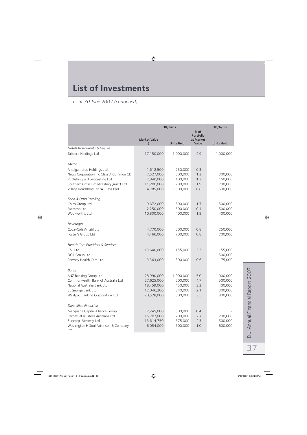# **List of Investments**

*as at 30 June 2007 (continued)*

|                                              |                           | 30/6/07           |                                         | 30/6/06           |
|----------------------------------------------|---------------------------|-------------------|-----------------------------------------|-------------------|
|                                              | <b>Market Value</b><br>\$ | <b>Units Held</b> | % of<br>Portfolio<br>at Market<br>Value | <b>Units Held</b> |
| Hotels Restaurants & Leisure                 |                           |                   |                                         |                   |
| Tabcorp Holdings Ltd                         | 17,150,000                | 1,000,000         | 2.9                                     | 1,000,000         |
| Media                                        |                           |                   |                                         |                   |
| Amalgamated Holdings Ltd                     | 1,612,500                 | 250,000           | 0.3                                     |                   |
| News Corporation Inc Class A Common CDI      | 7,527,000                 | 300,000           | 1.3                                     | 300,000           |
| Publishing & Broadcasting Ltd                | 7,840,000                 | 400,000           | 1.3                                     | 150,000           |
| Southern Cross Broadcasting (Aust) Ltd       | 11,200,000                | 700,000           | 1.9                                     | 700,000           |
| Village Roadshow Ltd 'A' Class Pref          | 4,785,000                 | 1,500,000         | 0.8                                     | 1,500,000         |
| Food & Drug Retailing                        |                           |                   |                                         |                   |
| Coles Group Ltd                              | 9,672,000                 | 600,000           | 1.7                                     | 500,000           |
| Metcash Ltd                                  | 2,250,000                 | 500,000           | 0.4                                     | 500,000           |
| Woolworths Ltd                               | 10,800,000                | 400,000           | 1.9                                     | 400,000           |
| <b>Beverages</b>                             |                           |                   |                                         |                   |
| Coca-Cola Amatil Ltd                         | 4,770,000                 | 500,000           | 0.8                                     | 250,000           |
| Foster's Group Ltd                           | 4,466,000                 | 700,000           | 0.8                                     | 700,000           |
| Health Care Providers & Services             |                           |                   |                                         |                   |
| CSL Ltd                                      | 13,640,000                | 155,000           | 2.3                                     | 155,000           |
| DCA Group Ltd                                |                           |                   |                                         | 500,000           |
| Ramsay Health Care Ltd                       | 3,363,000                 | 300,000           | 0.6                                     | 75,000            |
| <b>Banks</b>                                 |                           |                   |                                         |                   |
| ANZ Banking Group Ltd                        | 28,990,000                | 1,000,000         | 5.0                                     | 1,000,000         |
| Commonwealth Bank of Australia Ltd           | 27,625,000                | 500,000           | 4.7                                     | 500,000           |
| National Australia Bank Ltd                  | 18,459,000                | 450,000           | 3.2                                     | 400,000           |
| St George Bank Ltd                           | 12,046,200                | 340,000           | 2.1                                     | 300,000           |
| Westpac Banking Corporation Ltd              | 20,528,000                | 800,000           | 3.5                                     | 800,000           |
| Diversified Financials                       |                           |                   |                                         |                   |
| Macquarie Capital Alliance Group             | 2,245,000                 | 500,000           | 0.4                                     |                   |
| Perpetual Trustees Australia Ltd             | 15,702,000                | 200,000           | 2.7                                     | 200,000           |
| Suncorp-Metway Ltd                           | 13,614,750                | 675,000           | 2.3                                     | 500,000           |
| Washington H Soul Pattinson & Company<br>Ltd | 6,054,000                 | 600,000           | 1.0                                     | 600,000           |

DUI Annual Financial Report 2007 37DUI Annual Financial Report 2007  $\overline{37}$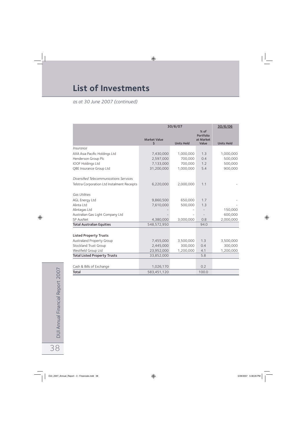## **List of Investments**

*as at 30 June 2007 (continued)*

|                                             | 30/6/07                   | 30/6/06           |                                         |                   |
|---------------------------------------------|---------------------------|-------------------|-----------------------------------------|-------------------|
|                                             | <b>Market Value</b><br>\$ | <b>Units Held</b> | % of<br>Portfolio<br>at Market<br>Value | <b>Units Held</b> |
| Insurance                                   |                           |                   |                                         |                   |
| AXA Asia Pacific Holdings Ltd               | 7,430,000                 | 1,000,000         | 1.3                                     | 1,000,000         |
| Henderson Group Plc                         | 2,597,000                 | 700,000           | 0.4                                     | 500,000           |
| IOOF Holdings Ltd                           | 7,133,000                 | 700,000           | 1.2                                     | 500,000           |
| QBE Insurance Group Ltd                     | 31,200,000                | 1,000,000         | 5.4                                     | 900,000           |
| Diversified Telecommunications Services     |                           |                   |                                         |                   |
| Telstra Corporation Ltd Instalment Receipts | 6,220,000                 | 2,000,000         | 1.1                                     |                   |
| Gas Utilities                               |                           |                   |                                         |                   |
| <b>AGL Energy Ltd</b>                       | 9,860,500                 | 650,000           | 1.7                                     |                   |
| Alinta Ltd                                  | 7,610,000                 | 500,000           | 1.3                                     |                   |
| Alintagas Ltd                               |                           |                   |                                         | 150,000           |
| Australian Gas Light Company Ltd            |                           |                   |                                         | 600,000           |
| <b>SP AusNet</b>                            | 4,380,000                 | 3,000,000         | 0.8                                     | 2,000,000         |
| <b>Total Australian Equities</b>            | 548,572,950               |                   | 94.0                                    |                   |
| <b>Listed Property Trusts</b>               |                           |                   |                                         |                   |
| <b>Australand Property Group</b>            | 7,455,000                 | 3,500,000         | 1.3                                     | 3,500,000         |
| Stockland Trust Group                       | 2,445,000                 | 300,000           | 0.4                                     | 300,000           |
| Westfield Group Ltd                         | 23,952,000                | 1,200,000         | 4.1                                     | 1,200,000         |
| <b>Total Listed Property Trusts</b>         | 33,852,000                |                   | 5.8                                     |                   |
|                                             |                           |                   |                                         |                   |
| Cash & Bills of Exchange                    | 1,026,170                 |                   | 0.2                                     |                   |
| <b>Total</b>                                | 583,451,120               |                   | 100.0                                   |                   |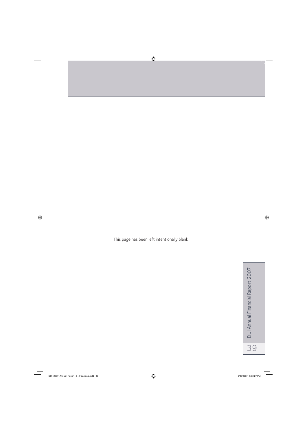This page has been left intentionally blank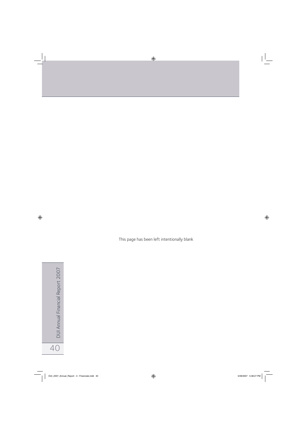This page has been left intentionally blank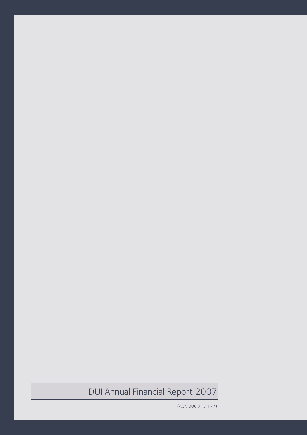## DUI Annual Financial Report 2007

(ACN 006 713 177)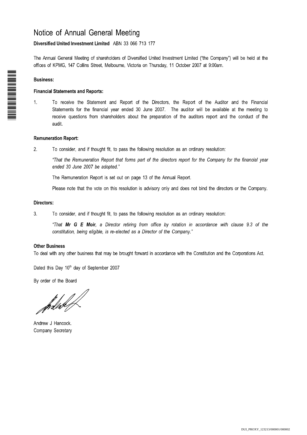## Notice of Annual General Meeting

### Diversified United Investment Limited ABN 33 066 713 177

The Annual General Meeting of shareholders of Diversified United Investment Limited ("the Company") will be held at the offices of KPMG, 147 Collins Street, Melbourne, Victoria on Thursday, 11 October 2007 at 9:00am.

#### **Business:**

#### **Financial Statements and Reports:**

To receive the Statement and Report of the Directors, the Report of the Auditor and the Financial  $1<sub>1</sub>$ Statements for the financial year ended 30 June 2007. The auditor will be available at the meeting to receive questions from shareholders about the preparation of the auditors report and the conduct of the audit

#### **Remuneration Report:**

 $2.$ To consider, and if thought fit, to pass the following resolution as an ordinary resolution:

"That the Remuneration Report that forms part of the directors report for the Company for the financial year ended 30 June 2007 be adopted."

The Remuneration Report is set out on page 13 of the Annual Report.

Please note that the vote on this resolution is advisory only and does not bind the directors or the Company.

#### Directors:

 $3<sub>l</sub>$ To consider, and if thought fit, to pass the following resolution as an ordinary resolution:

"That Mr G E Moir, a Director retiring from office by rotation in accordance with clause 9.3 of the constitution, being eligible, is re-elected as a Director of the Company."

#### **Other Business**

To deal with any other business that may be brought forward in accordance with the Constitution and the Corporations Act.

Dated this Day 10<sup>th</sup> day of September 2007

By order of the Board

fodet /

Andrew J Hancock. Company Secretary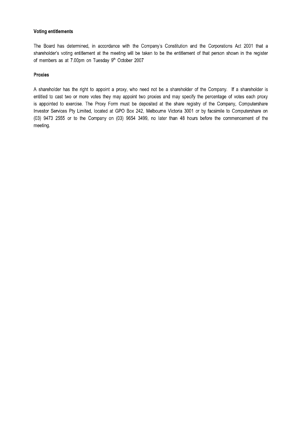#### **Voting entitlements**

The Board has determined, in accordance with the Company's Constitution and the Corporations Act 2001 that a shareholder's voting entitlement at the meeting will be taken to be the entitlement of that person shown in the register of members as at 7.00pm on Tuesday 9th October 2007

#### **Proxies**

A shareholder has the right to appoint a proxy, who need not be a shareholder of the Company. If a shareholder is entitled to cast two or more votes they may appoint two proxies and may specify the percentage of votes each proxy is appointed to exercise. The Proxy Form must be deposited at the share registry of the Company, Computershare Investor Services Pty Limited, located at GPO Box 242, Melbourne Victoria 3001 or by facsimile to Computershare on (03) 9473 2555 or to the Company on (03) 9654 3499, no later than 48 hours before the commencement of the meeting.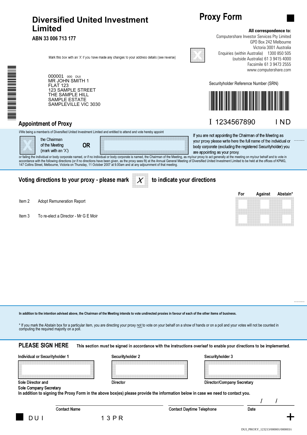

Item 3 To re-elect a Director - Mr G E Moir



**In addition to the intention advised above, the Chairman of the Meeting intends to vote undirected proxies in favour of each of the other items of business.**

\* If you mark the Abstain box for a particular item, you are directing your proxy not to vote on your behalf on a show of hands or on a poll and your votes will not be counted in computing the required majority on a poll.

**PLEASE SIGN HERE** This section must be signed in accordance with the instructions overleaf to enable your directions to be implemented.

#### Individual or Securityholder 1

Securityholder 2

|                                   |                     | $\sim$<br><br>,,,,,,<br>                                                    |
|-----------------------------------|---------------------|-----------------------------------------------------------------------------|
|                                   |                     | w                                                                           |
|                                   |                     | $\sim$<br>w                                                                 |
|                                   |                     | $\sim$<br>- - -<br>- - -                                                    |
| ,,,,,,,                           | ,,,,,,,,,,,,,,,,,,, | ,,,,,<br>$\sim$<br>,,,,,<br>$\sim$<br>$\sim$<br>m<br>,,,,,,,,,,,,,,,,,,,,,, |
| <b><i>CONTRACTOR</i></b><br>~~~~~ | ~~~~~               |                                                                             |

| SecurityHolder 3           |
|----------------------------|
|                            |
| Director/Company Secretary |

Sole Director and

**In addition to signing the Proxy Form in the above box(es) please provide the information below in case we need to contact you.**

**Contact Name** 

D U I

**Contact Daytime Telephone** 

1 Date